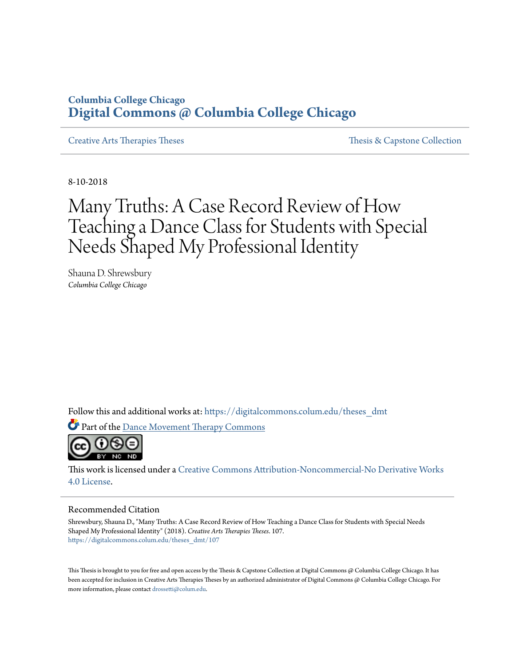### **Columbia College Chicago [Digital Commons @ Columbia College Chicago](https://digitalcommons.colum.edu?utm_source=digitalcommons.colum.edu%2Ftheses_dmt%2F107&utm_medium=PDF&utm_campaign=PDFCoverPages)**

[Creative Arts Therapies Theses](https://digitalcommons.colum.edu/theses_dmt?utm_source=digitalcommons.colum.edu%2Ftheses_dmt%2F107&utm_medium=PDF&utm_campaign=PDFCoverPages) [Thesis & Capstone Collection](https://digitalcommons.colum.edu/thesiscoll?utm_source=digitalcommons.colum.edu%2Ftheses_dmt%2F107&utm_medium=PDF&utm_campaign=PDFCoverPages)

8-10-2018

# Many Truths: A Case Record Review of How Teaching a Dance Class for Students with Special Needs Shaped My Professional Identity

Shauna D. Shrewsbury *Columbia College Chicago*

Follow this and additional works at: [https://digitalcommons.colum.edu/theses\\_dmt](https://digitalcommons.colum.edu/theses_dmt?utm_source=digitalcommons.colum.edu%2Ftheses_dmt%2F107&utm_medium=PDF&utm_campaign=PDFCoverPages)

Part of the [Dance Movement Therapy Commons](http://network.bepress.com/hgg/discipline/1150?utm_source=digitalcommons.colum.edu%2Ftheses_dmt%2F107&utm_medium=PDF&utm_campaign=PDFCoverPages)



This work is licensed under a [Creative Commons Attribution-Noncommercial-No Derivative Works](http://creativecommons.org/licenses/by-nc-nd/4.0/) [4.0 License.](http://creativecommons.org/licenses/by-nc-nd/4.0/)

#### Recommended Citation

Shrewsbury, Shauna D., "Many Truths: A Case Record Review of How Teaching a Dance Class for Students with Special Needs Shaped My Professional Identity" (2018). *Creative Arts Therapies Theses*. 107. [https://digitalcommons.colum.edu/theses\\_dmt/107](https://digitalcommons.colum.edu/theses_dmt/107?utm_source=digitalcommons.colum.edu%2Ftheses_dmt%2F107&utm_medium=PDF&utm_campaign=PDFCoverPages)

This Thesis is brought to you for free and open access by the Thesis & Capstone Collection at Digital Commons @ Columbia College Chicago. It has been accepted for inclusion in Creative Arts Therapies Theses by an authorized administrator of Digital Commons @ Columbia College Chicago. For more information, please contact [drossetti@colum.edu.](mailto:drossetti@colum.edu)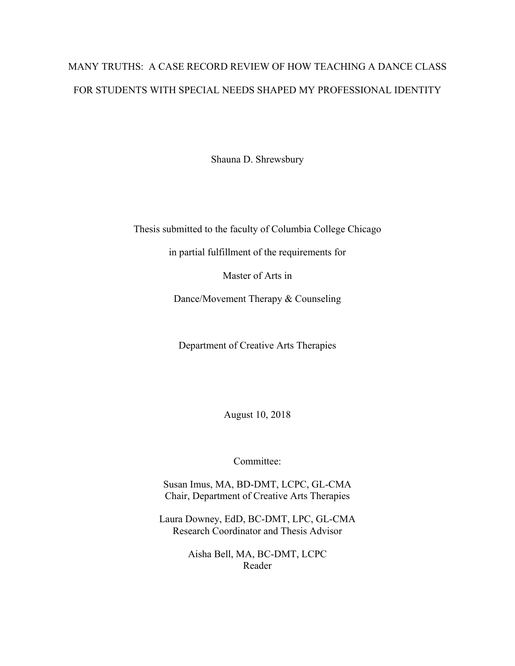# MANY TRUTHS: A CASE RECORD REVIEW OF HOW TEACHING A DANCE CLASS FOR STUDENTS WITH SPECIAL NEEDS SHAPED MY PROFESSIONAL IDENTITY

Shauna D. Shrewsbury

Thesis submitted to the faculty of Columbia College Chicago

in partial fulfillment of the requirements for

Master of Arts in

Dance/Movement Therapy & Counseling

Department of Creative Arts Therapies

August 10, 2018

Committee:

Susan Imus, MA, BD-DMT, LCPC, GL-CMA Chair, Department of Creative Arts Therapies

Laura Downey, EdD, BC-DMT, LPC, GL-CMA Research Coordinator and Thesis Advisor

> Aisha Bell, MA, BC-DMT, LCPC Reader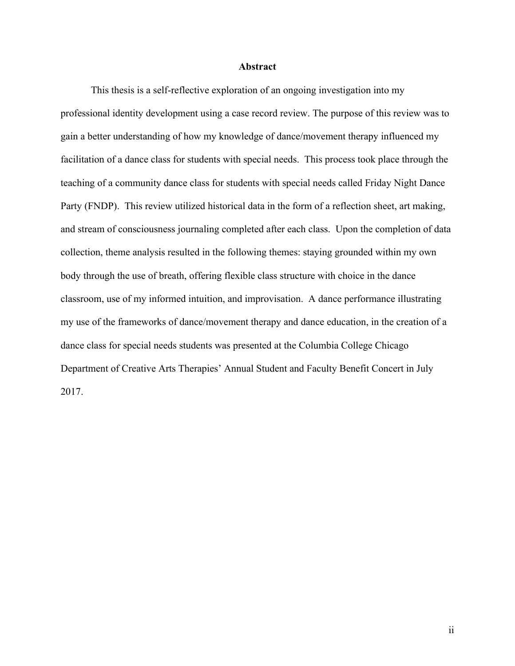#### **Abstract**

This thesis is a self-reflective exploration of an ongoing investigation into my professional identity development using a case record review. The purpose of this review was to gain a better understanding of how my knowledge of dance/movement therapy influenced my facilitation of a dance class for students with special needs. This process took place through the teaching of a community dance class for students with special needs called Friday Night Dance Party (FNDP). This review utilized historical data in the form of a reflection sheet, art making, and stream of consciousness journaling completed after each class. Upon the completion of data collection, theme analysis resulted in the following themes: staying grounded within my own body through the use of breath, offering flexible class structure with choice in the dance classroom, use of my informed intuition, and improvisation. A dance performance illustrating my use of the frameworks of dance/movement therapy and dance education, in the creation of a dance class for special needs students was presented at the Columbia College Chicago Department of Creative Arts Therapies' Annual Student and Faculty Benefit Concert in July 2017.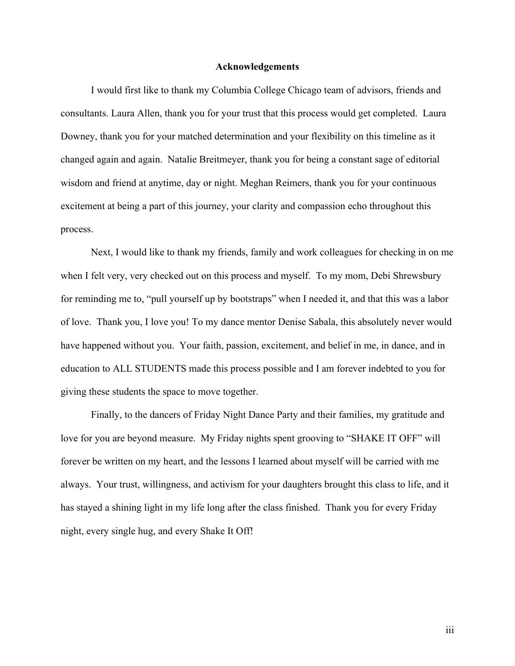#### **Acknowledgements**

I would first like to thank my Columbia College Chicago team of advisors, friends and consultants. Laura Allen, thank you for your trust that this process would get completed. Laura Downey, thank you for your matched determination and your flexibility on this timeline as it changed again and again. Natalie Breitmeyer, thank you for being a constant sage of editorial wisdom and friend at anytime, day or night. Meghan Reimers, thank you for your continuous excitement at being a part of this journey, your clarity and compassion echo throughout this process.

Next, I would like to thank my friends, family and work colleagues for checking in on me when I felt very, very checked out on this process and myself. To my mom, Debi Shrewsbury for reminding me to, "pull yourself up by bootstraps" when I needed it, and that this was a labor of love. Thank you, I love you! To my dance mentor Denise Sabala, this absolutely never would have happened without you. Your faith, passion, excitement, and belief in me, in dance, and in education to ALL STUDENTS made this process possible and I am forever indebted to you for giving these students the space to move together.

Finally, to the dancers of Friday Night Dance Party and their families, my gratitude and love for you are beyond measure. My Friday nights spent grooving to "SHAKE IT OFF" will forever be written on my heart, and the lessons I learned about myself will be carried with me always. Your trust, willingness, and activism for your daughters brought this class to life, and it has stayed a shining light in my life long after the class finished. Thank you for every Friday night, every single hug, and every Shake It Off!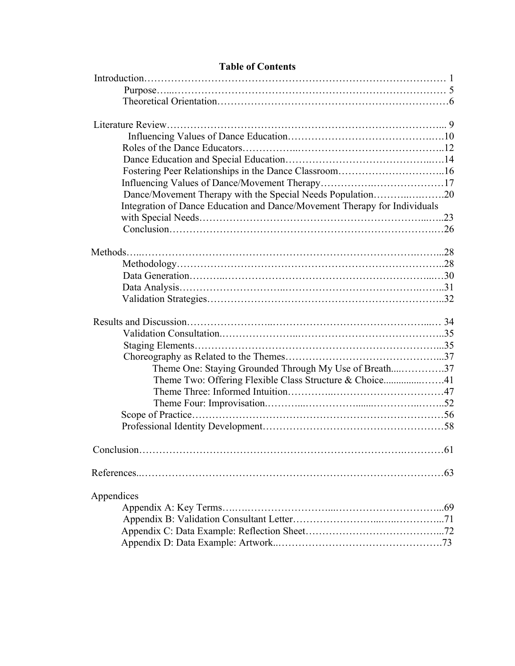| Fostering Peer Relationships in the Dance Classroom16                     |  |
|---------------------------------------------------------------------------|--|
|                                                                           |  |
| Dance/Movement Therapy with the Special Needs Population20                |  |
| Integration of Dance Education and Dance/Movement Therapy for Individuals |  |
|                                                                           |  |
|                                                                           |  |
|                                                                           |  |
|                                                                           |  |
|                                                                           |  |
|                                                                           |  |
|                                                                           |  |
|                                                                           |  |
|                                                                           |  |
|                                                                           |  |
|                                                                           |  |
|                                                                           |  |
| Theme One: Staying Grounded Through My Use of Breath37                    |  |
|                                                                           |  |
|                                                                           |  |
|                                                                           |  |
|                                                                           |  |
|                                                                           |  |
|                                                                           |  |
|                                                                           |  |
|                                                                           |  |
| Appendices                                                                |  |
|                                                                           |  |
|                                                                           |  |
|                                                                           |  |
|                                                                           |  |
|                                                                           |  |

### **Table of Contents**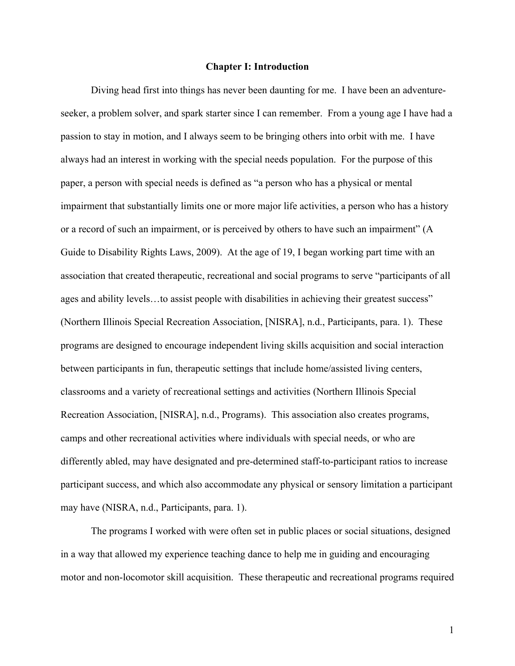#### **Chapter I: Introduction**

Diving head first into things has never been daunting for me. I have been an adventureseeker, a problem solver, and spark starter since I can remember. From a young age I have had a passion to stay in motion, and I always seem to be bringing others into orbit with me. I have always had an interest in working with the special needs population. For the purpose of this paper, a person with special needs is defined as "a person who has a physical or mental impairment that substantially limits one or more major life activities, a person who has a history or a record of such an impairment, or is perceived by others to have such an impairment" (A Guide to Disability Rights Laws, 2009). At the age of 19, I began working part time with an association that created therapeutic, recreational and social programs to serve "participants of all ages and ability levels…to assist people with disabilities in achieving their greatest success" (Northern Illinois Special Recreation Association, [NISRA], n.d., Participants, para. 1). These programs are designed to encourage independent living skills acquisition and social interaction between participants in fun, therapeutic settings that include home/assisted living centers, classrooms and a variety of recreational settings and activities (Northern Illinois Special Recreation Association, [NISRA], n.d., Programs). This association also creates programs, camps and other recreational activities where individuals with special needs, or who are differently abled, may have designated and pre-determined staff-to-participant ratios to increase participant success, and which also accommodate any physical or sensory limitation a participant may have (NISRA, n.d., Participants, para. 1).

The programs I worked with were often set in public places or social situations, designed in a way that allowed my experience teaching dance to help me in guiding and encouraging motor and non-locomotor skill acquisition. These therapeutic and recreational programs required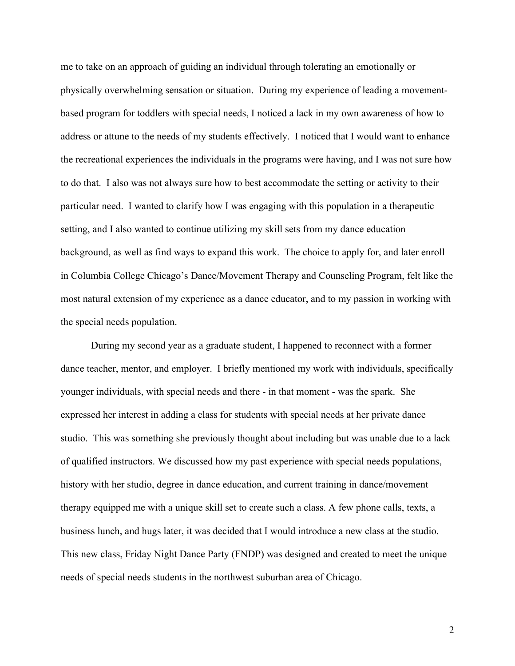me to take on an approach of guiding an individual through tolerating an emotionally or physically overwhelming sensation or situation. During my experience of leading a movementbased program for toddlers with special needs, I noticed a lack in my own awareness of how to address or attune to the needs of my students effectively. I noticed that I would want to enhance the recreational experiences the individuals in the programs were having, and I was not sure how to do that. I also was not always sure how to best accommodate the setting or activity to their particular need. I wanted to clarify how I was engaging with this population in a therapeutic setting, and I also wanted to continue utilizing my skill sets from my dance education background, as well as find ways to expand this work. The choice to apply for, and later enroll in Columbia College Chicago's Dance/Movement Therapy and Counseling Program, felt like the most natural extension of my experience as a dance educator, and to my passion in working with the special needs population.

During my second year as a graduate student, I happened to reconnect with a former dance teacher, mentor, and employer. I briefly mentioned my work with individuals, specifically younger individuals, with special needs and there - in that moment - was the spark. She expressed her interest in adding a class for students with special needs at her private dance studio. This was something she previously thought about including but was unable due to a lack of qualified instructors. We discussed how my past experience with special needs populations, history with her studio, degree in dance education, and current training in dance/movement therapy equipped me with a unique skill set to create such a class. A few phone calls, texts, a business lunch, and hugs later, it was decided that I would introduce a new class at the studio. This new class, Friday Night Dance Party (FNDP) was designed and created to meet the unique needs of special needs students in the northwest suburban area of Chicago.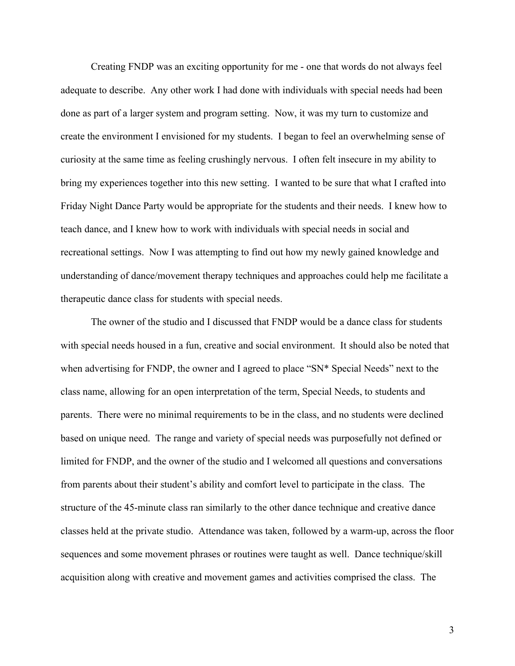Creating FNDP was an exciting opportunity for me - one that words do not always feel adequate to describe. Any other work I had done with individuals with special needs had been done as part of a larger system and program setting. Now, it was my turn to customize and create the environment I envisioned for my students. I began to feel an overwhelming sense of curiosity at the same time as feeling crushingly nervous. I often felt insecure in my ability to bring my experiences together into this new setting. I wanted to be sure that what I crafted into Friday Night Dance Party would be appropriate for the students and their needs. I knew how to teach dance, and I knew how to work with individuals with special needs in social and recreational settings. Now I was attempting to find out how my newly gained knowledge and understanding of dance/movement therapy techniques and approaches could help me facilitate a therapeutic dance class for students with special needs.

The owner of the studio and I discussed that FNDP would be a dance class for students with special needs housed in a fun, creative and social environment. It should also be noted that when advertising for FNDP, the owner and I agreed to place "SN\* Special Needs" next to the class name, allowing for an open interpretation of the term, Special Needs, to students and parents. There were no minimal requirements to be in the class, and no students were declined based on unique need. The range and variety of special needs was purposefully not defined or limited for FNDP, and the owner of the studio and I welcomed all questions and conversations from parents about their student's ability and comfort level to participate in the class. The structure of the 45-minute class ran similarly to the other dance technique and creative dance classes held at the private studio. Attendance was taken, followed by a warm-up, across the floor sequences and some movement phrases or routines were taught as well. Dance technique/skill acquisition along with creative and movement games and activities comprised the class. The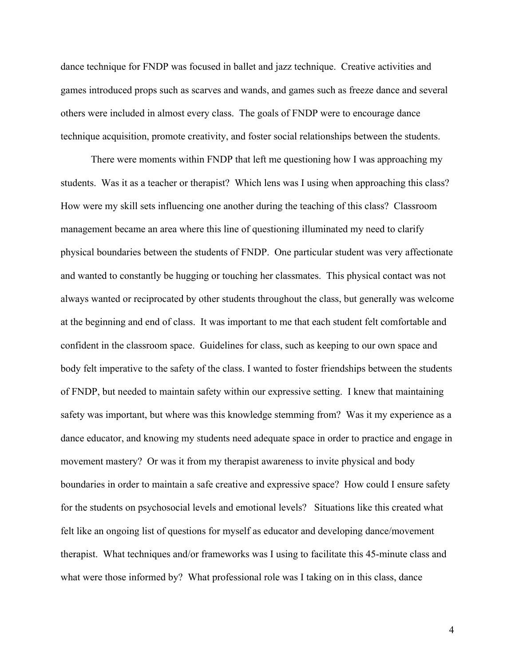dance technique for FNDP was focused in ballet and jazz technique. Creative activities and games introduced props such as scarves and wands, and games such as freeze dance and several others were included in almost every class. The goals of FNDP were to encourage dance technique acquisition, promote creativity, and foster social relationships between the students.

There were moments within FNDP that left me questioning how I was approaching my students. Was it as a teacher or therapist? Which lens was I using when approaching this class? How were my skill sets influencing one another during the teaching of this class? Classroom management became an area where this line of questioning illuminated my need to clarify physical boundaries between the students of FNDP. One particular student was very affectionate and wanted to constantly be hugging or touching her classmates. This physical contact was not always wanted or reciprocated by other students throughout the class, but generally was welcome at the beginning and end of class. It was important to me that each student felt comfortable and confident in the classroom space. Guidelines for class, such as keeping to our own space and body felt imperative to the safety of the class. I wanted to foster friendships between the students of FNDP, but needed to maintain safety within our expressive setting. I knew that maintaining safety was important, but where was this knowledge stemming from? Was it my experience as a dance educator, and knowing my students need adequate space in order to practice and engage in movement mastery? Or was it from my therapist awareness to invite physical and body boundaries in order to maintain a safe creative and expressive space? How could I ensure safety for the students on psychosocial levels and emotional levels? Situations like this created what felt like an ongoing list of questions for myself as educator and developing dance/movement therapist. What techniques and/or frameworks was I using to facilitate this 45-minute class and what were those informed by? What professional role was I taking on in this class, dance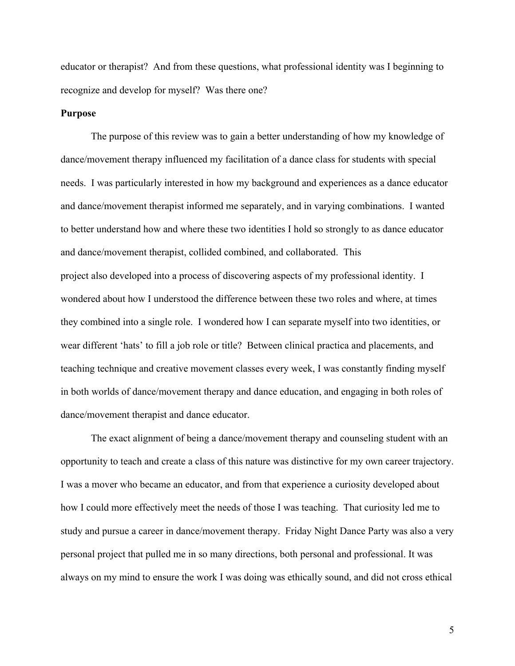educator or therapist? And from these questions, what professional identity was I beginning to recognize and develop for myself? Was there one?

#### **Purpose**

The purpose of this review was to gain a better understanding of how my knowledge of dance/movement therapy influenced my facilitation of a dance class for students with special needs. I was particularly interested in how my background and experiences as a dance educator and dance/movement therapist informed me separately, and in varying combinations. I wanted to better understand how and where these two identities I hold so strongly to as dance educator and dance/movement therapist, collided combined, and collaborated. This project also developed into a process of discovering aspects of my professional identity. I wondered about how I understood the difference between these two roles and where, at times they combined into a single role. I wondered how I can separate myself into two identities, or wear different 'hats' to fill a job role or title? Between clinical practica and placements, and teaching technique and creative movement classes every week, I was constantly finding myself in both worlds of dance/movement therapy and dance education, and engaging in both roles of dance/movement therapist and dance educator.

The exact alignment of being a dance/movement therapy and counseling student with an opportunity to teach and create a class of this nature was distinctive for my own career trajectory. I was a mover who became an educator, and from that experience a curiosity developed about how I could more effectively meet the needs of those I was teaching. That curiosity led me to study and pursue a career in dance/movement therapy. Friday Night Dance Party was also a very personal project that pulled me in so many directions, both personal and professional. It was always on my mind to ensure the work I was doing was ethically sound, and did not cross ethical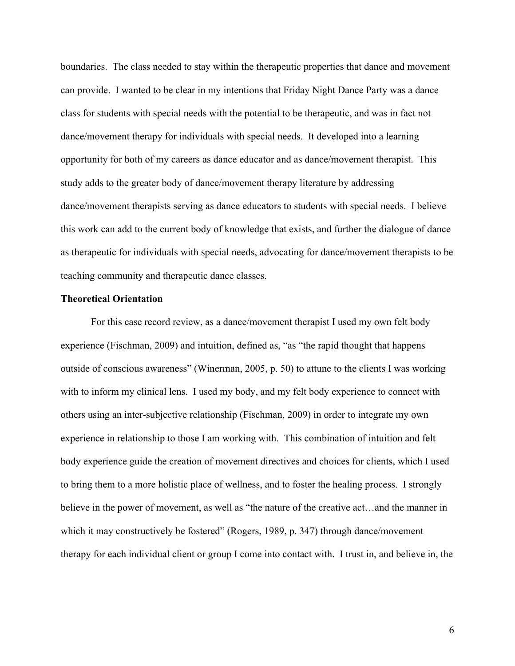boundaries. The class needed to stay within the therapeutic properties that dance and movement can provide. I wanted to be clear in my intentions that Friday Night Dance Party was a dance class for students with special needs with the potential to be therapeutic, and was in fact not dance/movement therapy for individuals with special needs. It developed into a learning opportunity for both of my careers as dance educator and as dance/movement therapist. This study adds to the greater body of dance/movement therapy literature by addressing dance/movement therapists serving as dance educators to students with special needs. I believe this work can add to the current body of knowledge that exists, and further the dialogue of dance as therapeutic for individuals with special needs, advocating for dance/movement therapists to be teaching community and therapeutic dance classes.

#### **Theoretical Orientation**

For this case record review, as a dance/movement therapist I used my own felt body experience (Fischman, 2009) and intuition, defined as, "as "the rapid thought that happens outside of conscious awareness" (Winerman, 2005, p. 50) to attune to the clients I was working with to inform my clinical lens. I used my body, and my felt body experience to connect with others using an inter-subjective relationship (Fischman, 2009) in order to integrate my own experience in relationship to those I am working with. This combination of intuition and felt body experience guide the creation of movement directives and choices for clients, which I used to bring them to a more holistic place of wellness, and to foster the healing process. I strongly believe in the power of movement, as well as "the nature of the creative act…and the manner in which it may constructively be fostered" (Rogers, 1989, p. 347) through dance/movement therapy for each individual client or group I come into contact with. I trust in, and believe in, the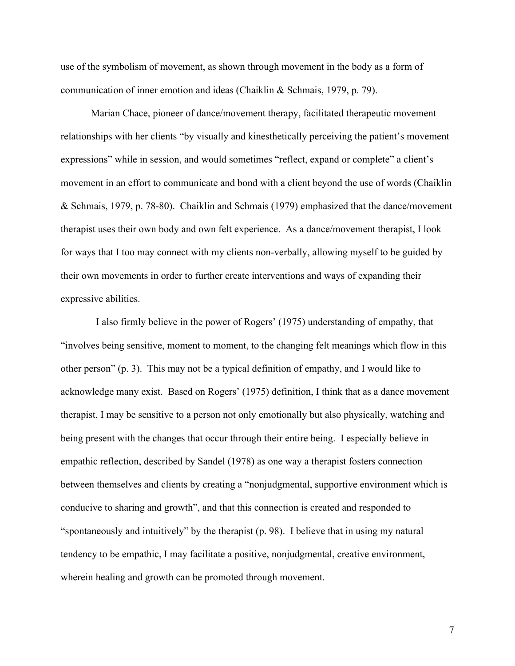use of the symbolism of movement, as shown through movement in the body as a form of communication of inner emotion and ideas (Chaiklin & Schmais, 1979, p. 79).

Marian Chace, pioneer of dance/movement therapy, facilitated therapeutic movement relationships with her clients "by visually and kinesthetically perceiving the patient's movement expressions" while in session, and would sometimes "reflect, expand or complete" a client's movement in an effort to communicate and bond with a client beyond the use of words (Chaiklin & Schmais, 1979, p. 78-80). Chaiklin and Schmais (1979) emphasized that the dance/movement therapist uses their own body and own felt experience. As a dance/movement therapist, I look for ways that I too may connect with my clients non-verbally, allowing myself to be guided by their own movements in order to further create interventions and ways of expanding their expressive abilities.

 I also firmly believe in the power of Rogers' (1975) understanding of empathy, that "involves being sensitive, moment to moment, to the changing felt meanings which flow in this other person" (p. 3). This may not be a typical definition of empathy, and I would like to acknowledge many exist. Based on Rogers' (1975) definition, I think that as a dance movement therapist, I may be sensitive to a person not only emotionally but also physically, watching and being present with the changes that occur through their entire being. I especially believe in empathic reflection, described by Sandel (1978) as one way a therapist fosters connection between themselves and clients by creating a "nonjudgmental, supportive environment which is conducive to sharing and growth", and that this connection is created and responded to "spontaneously and intuitively" by the therapist (p. 98). I believe that in using my natural tendency to be empathic, I may facilitate a positive, nonjudgmental, creative environment, wherein healing and growth can be promoted through movement.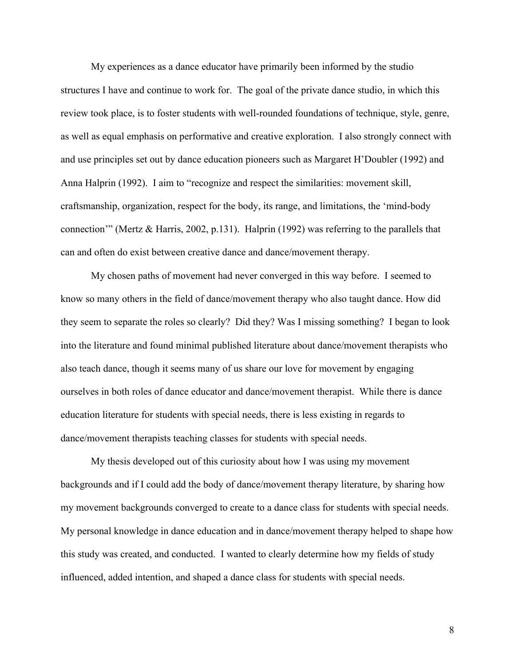My experiences as a dance educator have primarily been informed by the studio structures I have and continue to work for. The goal of the private dance studio, in which this review took place, is to foster students with well-rounded foundations of technique, style, genre, as well as equal emphasis on performative and creative exploration. I also strongly connect with and use principles set out by dance education pioneers such as Margaret H'Doubler (1992) and Anna Halprin (1992). I aim to "recognize and respect the similarities: movement skill, craftsmanship, organization, respect for the body, its range, and limitations, the 'mind-body connection'" (Mertz & Harris, 2002, p.131). Halprin (1992) was referring to the parallels that can and often do exist between creative dance and dance/movement therapy.

My chosen paths of movement had never converged in this way before. I seemed to know so many others in the field of dance/movement therapy who also taught dance. How did they seem to separate the roles so clearly? Did they? Was I missing something? I began to look into the literature and found minimal published literature about dance/movement therapists who also teach dance, though it seems many of us share our love for movement by engaging ourselves in both roles of dance educator and dance/movement therapist. While there is dance education literature for students with special needs, there is less existing in regards to dance/movement therapists teaching classes for students with special needs.

My thesis developed out of this curiosity about how I was using my movement backgrounds and if I could add the body of dance/movement therapy literature, by sharing how my movement backgrounds converged to create to a dance class for students with special needs. My personal knowledge in dance education and in dance/movement therapy helped to shape how this study was created, and conducted. I wanted to clearly determine how my fields of study influenced, added intention, and shaped a dance class for students with special needs.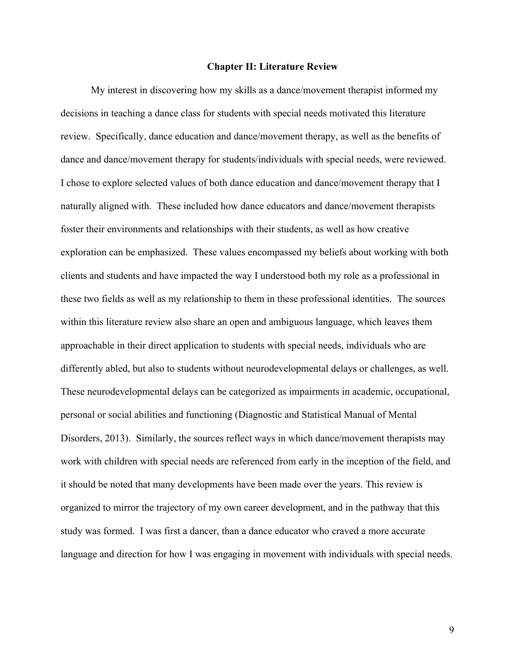#### **Chapter II: Literature Review**

My interest in discovering how my skills as a dance/movement therapist informed my decisions in teaching a dance class for students with special needs motivated this literature review. Specifically, dance education and dance/movement therapy, as well as the benefits of dance and dance/movement therapy for students/individuals with special needs, were reviewed. I chose to explore selected values of both dance education and dance/movement therapy that I naturally aligned with. These included how dance educators and dance/movement therapists foster their environments and relationships with their students, as well as how creative exploration can be emphasized. These values encompassed my beliefs about working with both clients and students and have impacted the way I understood both my role as a professional in these two fields as well as my relationship to them in these professional identities. The sources within this literature review also share an open and ambiguous language, which leaves them approachable in their direct application to students with special needs, individuals who are differently abled, but also to students without neurodevelopmental delays or challenges, as well. These neurodevelopmental delays can be categorized as impairments in academic, occupational, personal or social abilities and functioning (Diagnostic and Statistical Manual of Mental Disorders, 2013). Similarly, the sources reflect ways in which dance/movement therapists may work with children with special needs are referenced from early in the inception of the field, and it should be noted that many developments have been made over the years. This review is organized to mirror the trajectory of my own career development, and in the pathway that this study was formed. I was first a dancer, than a dance educator who craved a more accurate language and direction for how I was engaging in movement with individuals with special needs.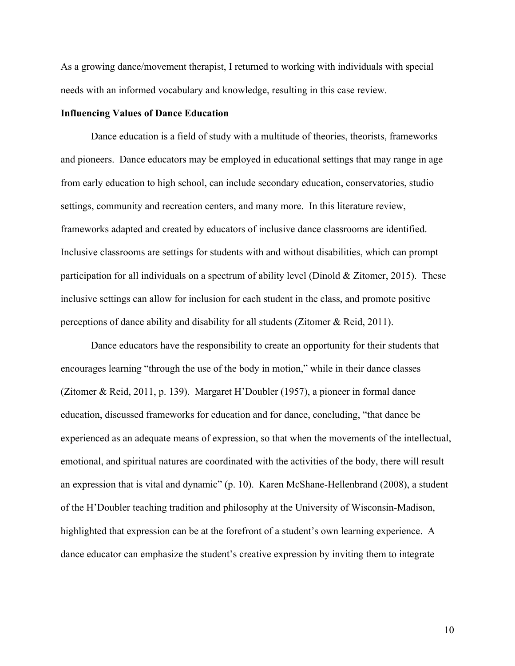As a growing dance/movement therapist, I returned to working with individuals with special needs with an informed vocabulary and knowledge, resulting in this case review.

#### **Influencing Values of Dance Education**

Dance education is a field of study with a multitude of theories, theorists, frameworks and pioneers. Dance educators may be employed in educational settings that may range in age from early education to high school, can include secondary education, conservatories, studio settings, community and recreation centers, and many more. In this literature review, frameworks adapted and created by educators of inclusive dance classrooms are identified. Inclusive classrooms are settings for students with and without disabilities, which can prompt participation for all individuals on a spectrum of ability level (Dinold & Zitomer, 2015). These inclusive settings can allow for inclusion for each student in the class, and promote positive perceptions of dance ability and disability for all students (Zitomer & Reid, 2011).

Dance educators have the responsibility to create an opportunity for their students that encourages learning "through the use of the body in motion," while in their dance classes (Zitomer & Reid, 2011, p. 139). Margaret H'Doubler (1957), a pioneer in formal dance education, discussed frameworks for education and for dance, concluding, "that dance be experienced as an adequate means of expression, so that when the movements of the intellectual, emotional, and spiritual natures are coordinated with the activities of the body, there will result an expression that is vital and dynamic" (p. 10). Karen McShane-Hellenbrand (2008), a student of the H'Doubler teaching tradition and philosophy at the University of Wisconsin-Madison, highlighted that expression can be at the forefront of a student's own learning experience. A dance educator can emphasize the student's creative expression by inviting them to integrate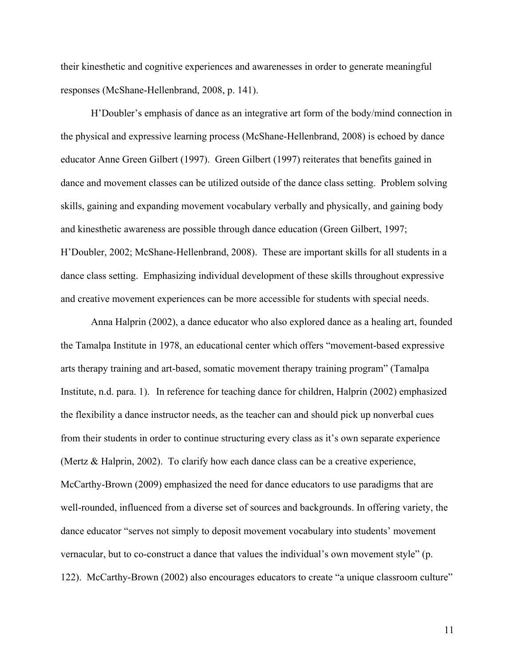their kinesthetic and cognitive experiences and awarenesses in order to generate meaningful responses (McShane-Hellenbrand, 2008, p. 141).

H'Doubler's emphasis of dance as an integrative art form of the body/mind connection in the physical and expressive learning process (McShane-Hellenbrand, 2008) is echoed by dance educator Anne Green Gilbert (1997). Green Gilbert (1997) reiterates that benefits gained in dance and movement classes can be utilized outside of the dance class setting. Problem solving skills, gaining and expanding movement vocabulary verbally and physically, and gaining body and kinesthetic awareness are possible through dance education (Green Gilbert, 1997; H'Doubler, 2002; McShane-Hellenbrand, 2008). These are important skills for all students in a dance class setting. Emphasizing individual development of these skills throughout expressive and creative movement experiences can be more accessible for students with special needs.

Anna Halprin (2002), a dance educator who also explored dance as a healing art, founded the Tamalpa Institute in 1978, an educational center which offers "movement-based expressive arts therapy training and art-based, somatic movement therapy training program" (Tamalpa Institute, n.d. para. 1). In reference for teaching dance for children, Halprin (2002) emphasized the flexibility a dance instructor needs, as the teacher can and should pick up nonverbal cues from their students in order to continue structuring every class as it's own separate experience (Mertz & Halprin, 2002). To clarify how each dance class can be a creative experience, McCarthy-Brown (2009) emphasized the need for dance educators to use paradigms that are well-rounded, influenced from a diverse set of sources and backgrounds. In offering variety, the dance educator "serves not simply to deposit movement vocabulary into students' movement vernacular, but to co-construct a dance that values the individual's own movement style" (p. 122). McCarthy-Brown (2002) also encourages educators to create "a unique classroom culture"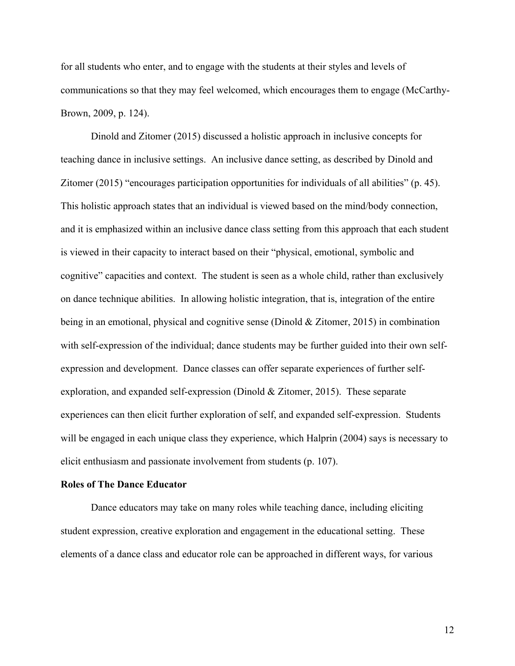for all students who enter, and to engage with the students at their styles and levels of communications so that they may feel welcomed, which encourages them to engage (McCarthy-Brown, 2009, p. 124).

Dinold and Zitomer (2015) discussed a holistic approach in inclusive concepts for teaching dance in inclusive settings. An inclusive dance setting, as described by Dinold and Zitomer (2015) "encourages participation opportunities for individuals of all abilities" (p. 45). This holistic approach states that an individual is viewed based on the mind/body connection, and it is emphasized within an inclusive dance class setting from this approach that each student is viewed in their capacity to interact based on their "physical, emotional, symbolic and cognitive" capacities and context. The student is seen as a whole child, rather than exclusively on dance technique abilities. In allowing holistic integration, that is, integration of the entire being in an emotional, physical and cognitive sense (Dinold & Zitomer, 2015) in combination with self-expression of the individual; dance students may be further guided into their own selfexpression and development. Dance classes can offer separate experiences of further selfexploration, and expanded self-expression (Dinold & Zitomer, 2015). These separate experiences can then elicit further exploration of self, and expanded self-expression. Students will be engaged in each unique class they experience, which Halprin (2004) says is necessary to elicit enthusiasm and passionate involvement from students (p. 107).

#### **Roles of The Dance Educator**

Dance educators may take on many roles while teaching dance, including eliciting student expression, creative exploration and engagement in the educational setting. These elements of a dance class and educator role can be approached in different ways, for various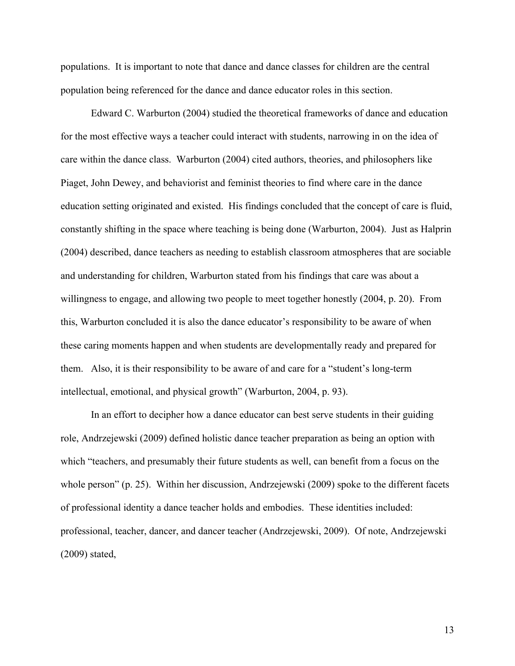populations. It is important to note that dance and dance classes for children are the central population being referenced for the dance and dance educator roles in this section.

Edward C. Warburton (2004) studied the theoretical frameworks of dance and education for the most effective ways a teacher could interact with students, narrowing in on the idea of care within the dance class. Warburton (2004) cited authors, theories, and philosophers like Piaget, John Dewey, and behaviorist and feminist theories to find where care in the dance education setting originated and existed. His findings concluded that the concept of care is fluid, constantly shifting in the space where teaching is being done (Warburton, 2004). Just as Halprin (2004) described, dance teachers as needing to establish classroom atmospheres that are sociable and understanding for children, Warburton stated from his findings that care was about a willingness to engage, and allowing two people to meet together honestly (2004, p. 20). From this, Warburton concluded it is also the dance educator's responsibility to be aware of when these caring moments happen and when students are developmentally ready and prepared for them. Also, it is their responsibility to be aware of and care for a "student's long-term intellectual, emotional, and physical growth" (Warburton, 2004, p. 93).

In an effort to decipher how a dance educator can best serve students in their guiding role, Andrzejewski (2009) defined holistic dance teacher preparation as being an option with which "teachers, and presumably their future students as well, can benefit from a focus on the whole person" (p. 25). Within her discussion, Andrzejewski (2009) spoke to the different facets of professional identity a dance teacher holds and embodies. These identities included: professional, teacher, dancer, and dancer teacher (Andrzejewski, 2009). Of note, Andrzejewski (2009) stated,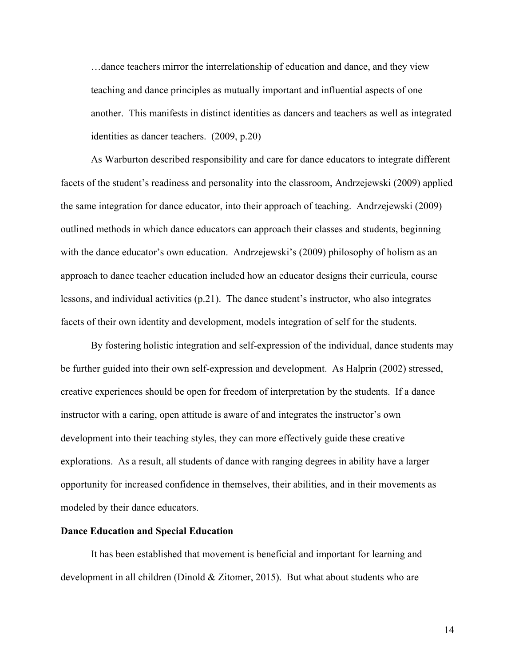…dance teachers mirror the interrelationship of education and dance, and they view teaching and dance principles as mutually important and influential aspects of one another. This manifests in distinct identities as dancers and teachers as well as integrated identities as dancer teachers. (2009, p.20)

As Warburton described responsibility and care for dance educators to integrate different facets of the student's readiness and personality into the classroom, Andrzejewski (2009) applied the same integration for dance educator, into their approach of teaching. Andrzejewski (2009) outlined methods in which dance educators can approach their classes and students, beginning with the dance educator's own education. Andrzejewski's (2009) philosophy of holism as an approach to dance teacher education included how an educator designs their curricula, course lessons, and individual activities (p.21). The dance student's instructor, who also integrates facets of their own identity and development, models integration of self for the students.

By fostering holistic integration and self-expression of the individual, dance students may be further guided into their own self-expression and development. As Halprin (2002) stressed, creative experiences should be open for freedom of interpretation by the students. If a dance instructor with a caring, open attitude is aware of and integrates the instructor's own development into their teaching styles, they can more effectively guide these creative explorations. As a result, all students of dance with ranging degrees in ability have a larger opportunity for increased confidence in themselves, their abilities, and in their movements as modeled by their dance educators.

#### **Dance Education and Special Education**

It has been established that movement is beneficial and important for learning and development in all children (Dinold & Zitomer, 2015). But what about students who are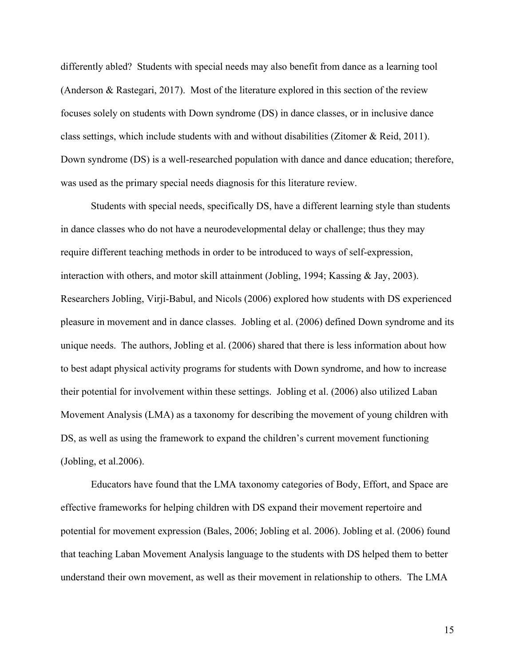differently abled? Students with special needs may also benefit from dance as a learning tool (Anderson & Rastegari, 2017). Most of the literature explored in this section of the review focuses solely on students with Down syndrome (DS) in dance classes, or in inclusive dance class settings, which include students with and without disabilities (Zitomer & Reid, 2011). Down syndrome (DS) is a well-researched population with dance and dance education; therefore, was used as the primary special needs diagnosis for this literature review.

Students with special needs, specifically DS, have a different learning style than students in dance classes who do not have a neurodevelopmental delay or challenge; thus they may require different teaching methods in order to be introduced to ways of self-expression, interaction with others, and motor skill attainment (Jobling, 1994; Kassing & Jay, 2003). Researchers Jobling, Virji-Babul, and Nicols (2006) explored how students with DS experienced pleasure in movement and in dance classes. Jobling et al. (2006) defined Down syndrome and its unique needs. The authors, Jobling et al. (2006) shared that there is less information about how to best adapt physical activity programs for students with Down syndrome, and how to increase their potential for involvement within these settings. Jobling et al. (2006) also utilized Laban Movement Analysis (LMA) as a taxonomy for describing the movement of young children with DS, as well as using the framework to expand the children's current movement functioning (Jobling, et al.2006).

Educators have found that the LMA taxonomy categories of Body, Effort, and Space are effective frameworks for helping children with DS expand their movement repertoire and potential for movement expression (Bales, 2006; Jobling et al. 2006). Jobling et al. (2006) found that teaching Laban Movement Analysis language to the students with DS helped them to better understand their own movement, as well as their movement in relationship to others. The LMA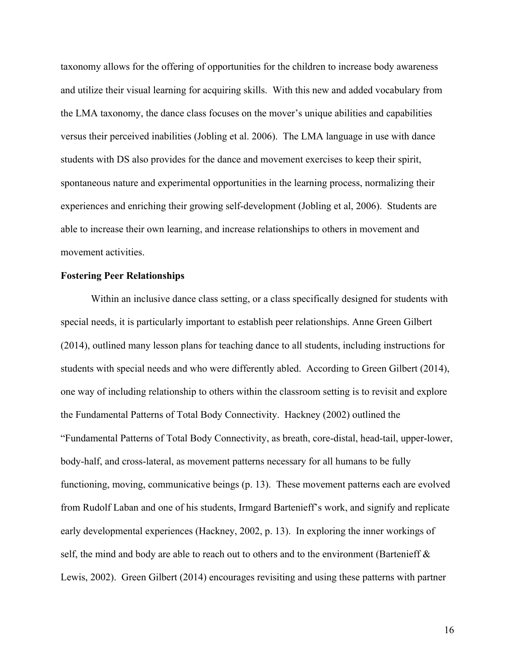taxonomy allows for the offering of opportunities for the children to increase body awareness and utilize their visual learning for acquiring skills. With this new and added vocabulary from the LMA taxonomy, the dance class focuses on the mover's unique abilities and capabilities versus their perceived inabilities (Jobling et al. 2006). The LMA language in use with dance students with DS also provides for the dance and movement exercises to keep their spirit, spontaneous nature and experimental opportunities in the learning process, normalizing their experiences and enriching their growing self-development (Jobling et al, 2006). Students are able to increase their own learning, and increase relationships to others in movement and movement activities.

#### **Fostering Peer Relationships**

Within an inclusive dance class setting, or a class specifically designed for students with special needs, it is particularly important to establish peer relationships. Anne Green Gilbert (2014), outlined many lesson plans for teaching dance to all students, including instructions for students with special needs and who were differently abled. According to Green Gilbert (2014), one way of including relationship to others within the classroom setting is to revisit and explore the Fundamental Patterns of Total Body Connectivity. Hackney (2002) outlined the "Fundamental Patterns of Total Body Connectivity, as breath, core-distal, head-tail, upper-lower, body-half, and cross-lateral, as movement patterns necessary for all humans to be fully functioning, moving, communicative beings (p. 13). These movement patterns each are evolved from Rudolf Laban and one of his students, Irmgard Bartenieff's work, and signify and replicate early developmental experiences (Hackney, 2002, p. 13). In exploring the inner workings of self, the mind and body are able to reach out to others and to the environment (Bartenieff  $\&$ Lewis, 2002). Green Gilbert (2014) encourages revisiting and using these patterns with partner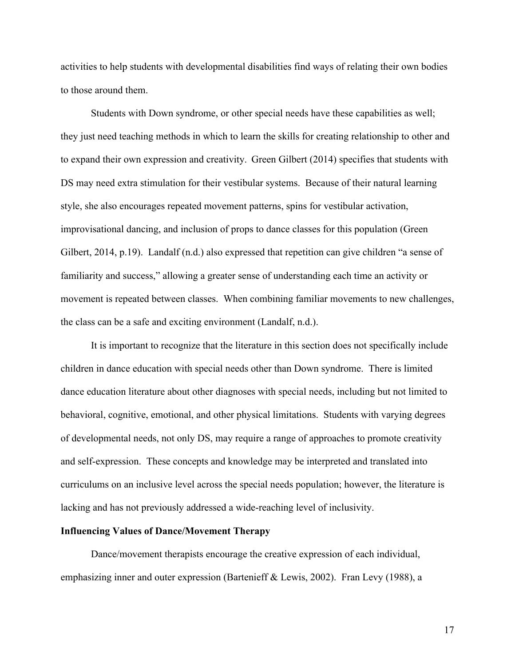activities to help students with developmental disabilities find ways of relating their own bodies to those around them.

Students with Down syndrome, or other special needs have these capabilities as well; they just need teaching methods in which to learn the skills for creating relationship to other and to expand their own expression and creativity. Green Gilbert (2014) specifies that students with DS may need extra stimulation for their vestibular systems. Because of their natural learning style, she also encourages repeated movement patterns, spins for vestibular activation, improvisational dancing, and inclusion of props to dance classes for this population (Green Gilbert, 2014, p.19). Landalf (n.d.) also expressed that repetition can give children "a sense of familiarity and success," allowing a greater sense of understanding each time an activity or movement is repeated between classes. When combining familiar movements to new challenges, the class can be a safe and exciting environment (Landalf, n.d.).

It is important to recognize that the literature in this section does not specifically include children in dance education with special needs other than Down syndrome. There is limited dance education literature about other diagnoses with special needs, including but not limited to behavioral, cognitive, emotional, and other physical limitations. Students with varying degrees of developmental needs, not only DS, may require a range of approaches to promote creativity and self-expression. These concepts and knowledge may be interpreted and translated into curriculums on an inclusive level across the special needs population; however, the literature is lacking and has not previously addressed a wide-reaching level of inclusivity.

#### **Influencing Values of Dance/Movement Therapy**

Dance/movement therapists encourage the creative expression of each individual, emphasizing inner and outer expression (Bartenieff & Lewis, 2002). Fran Levy (1988), a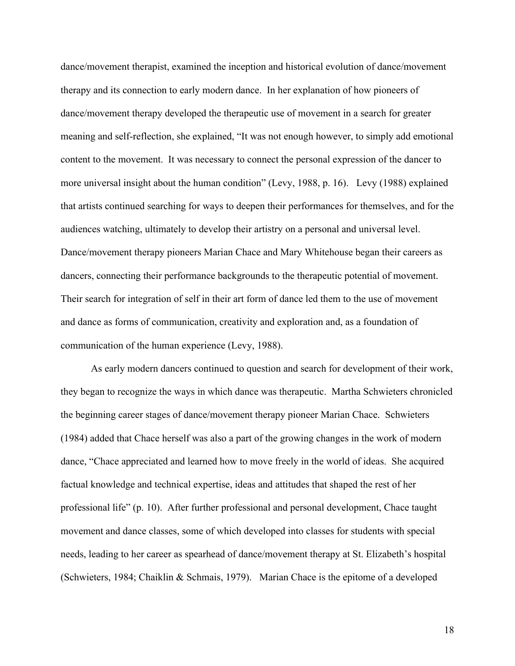dance/movement therapist, examined the inception and historical evolution of dance/movement therapy and its connection to early modern dance. In her explanation of how pioneers of dance/movement therapy developed the therapeutic use of movement in a search for greater meaning and self-reflection, she explained, "It was not enough however, to simply add emotional content to the movement. It was necessary to connect the personal expression of the dancer to more universal insight about the human condition" (Levy, 1988, p. 16). Levy (1988) explained that artists continued searching for ways to deepen their performances for themselves, and for the audiences watching, ultimately to develop their artistry on a personal and universal level. Dance/movement therapy pioneers Marian Chace and Mary Whitehouse began their careers as dancers, connecting their performance backgrounds to the therapeutic potential of movement. Their search for integration of self in their art form of dance led them to the use of movement and dance as forms of communication, creativity and exploration and, as a foundation of communication of the human experience (Levy, 1988).

As early modern dancers continued to question and search for development of their work, they began to recognize the ways in which dance was therapeutic. Martha Schwieters chronicled the beginning career stages of dance/movement therapy pioneer Marian Chace. Schwieters (1984) added that Chace herself was also a part of the growing changes in the work of modern dance, "Chace appreciated and learned how to move freely in the world of ideas. She acquired factual knowledge and technical expertise, ideas and attitudes that shaped the rest of her professional life" (p. 10). After further professional and personal development, Chace taught movement and dance classes, some of which developed into classes for students with special needs, leading to her career as spearhead of dance/movement therapy at St. Elizabeth's hospital (Schwieters, 1984; Chaiklin & Schmais, 1979). Marian Chace is the epitome of a developed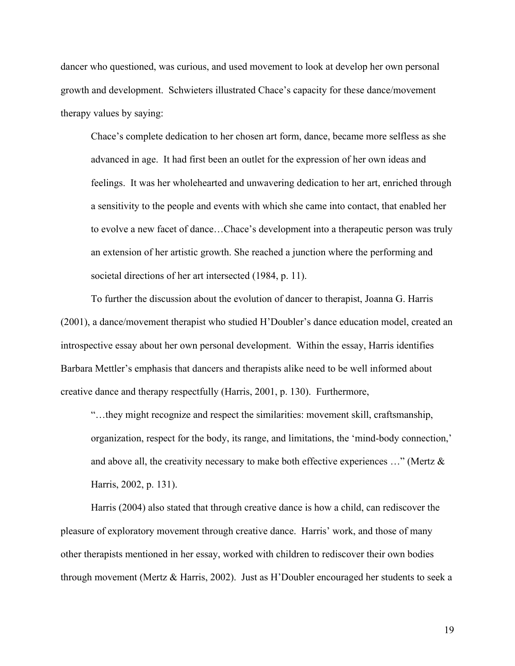dancer who questioned, was curious, and used movement to look at develop her own personal growth and development. Schwieters illustrated Chace's capacity for these dance/movement therapy values by saying:

Chace's complete dedication to her chosen art form, dance, became more selfless as she advanced in age. It had first been an outlet for the expression of her own ideas and feelings. It was her wholehearted and unwavering dedication to her art, enriched through a sensitivity to the people and events with which she came into contact, that enabled her to evolve a new facet of dance…Chace's development into a therapeutic person was truly an extension of her artistic growth. She reached a junction where the performing and societal directions of her art intersected (1984, p. 11).

To further the discussion about the evolution of dancer to therapist, Joanna G. Harris (2001), a dance/movement therapist who studied H'Doubler's dance education model, created an introspective essay about her own personal development. Within the essay, Harris identifies Barbara Mettler's emphasis that dancers and therapists alike need to be well informed about creative dance and therapy respectfully (Harris, 2001, p. 130). Furthermore,

"…they might recognize and respect the similarities: movement skill, craftsmanship, organization, respect for the body, its range, and limitations, the 'mind-body connection,' and above all, the creativity necessary to make both effective experiences  $\ldots$ " (Mertz  $\&$ Harris, 2002, p. 131).

Harris (2004) also stated that through creative dance is how a child, can rediscover the pleasure of exploratory movement through creative dance. Harris' work, and those of many other therapists mentioned in her essay, worked with children to rediscover their own bodies through movement (Mertz & Harris, 2002). Just as H'Doubler encouraged her students to seek a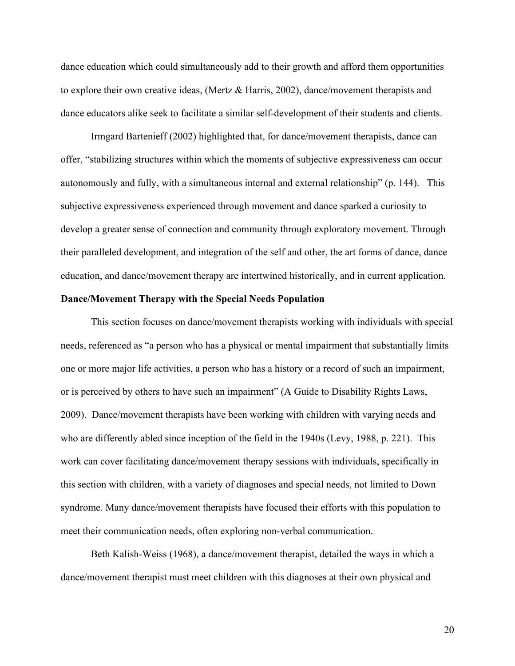dance education which could simultaneously add to their growth and afford them opportunities to explore their own creative ideas, (Mertz & Harris, 2002), dance/movement therapists and dance educators alike seek to facilitate a similar self-development of their students and clients.

Irmgard Bartenieff (2002) highlighted that, for dance/movement therapists, dance can offer, "stabilizing structures within which the moments of subjective expressiveness can occur autonomously and fully, with a simultaneous internal and external relationship" (p. 144). This subjective expressiveness experienced through movement and dance sparked a curiosity to develop a greater sense of connection and community through exploratory movement. Through their paralleled development, and integration of the self and other, the art forms of dance, dance education, and dance/movement therapy are intertwined historically, and in current application.

#### **Dance/Movement Therapy with the Special Needs Population**

This section focuses on dance/movement therapists working with individuals with special needs, referenced as "a person who has a physical or mental impairment that substantially limits one or more major life activities, a person who has a history or a record of such an impairment, or is perceived by others to have such an impairment" (A Guide to Disability Rights Laws, 2009). Dance/movement therapists have been working with children with varying needs and who are differently abled since inception of the field in the 1940s (Levy, 1988, p. 221). This work can cover facilitating dance/movement therapy sessions with individuals, specifically in this section with children, with a variety of diagnoses and special needs, not limited to Down syndrome. Many dance/movement therapists have focused their efforts with this population to meet their communication needs, often exploring non-verbal communication.

Beth Kalish-Weiss (1968), a dance/movement therapist, detailed the ways in which a dance/movement therapist must meet children with this diagnoses at their own physical and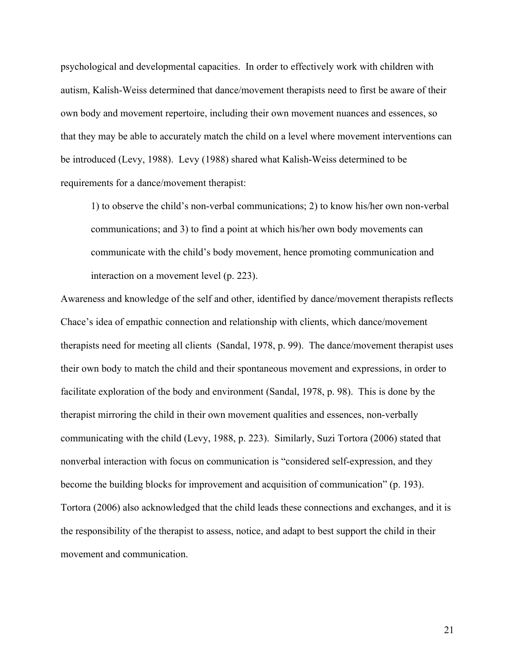psychological and developmental capacities. In order to effectively work with children with autism, Kalish-Weiss determined that dance/movement therapists need to first be aware of their own body and movement repertoire, including their own movement nuances and essences, so that they may be able to accurately match the child on a level where movement interventions can be introduced (Levy, 1988). Levy (1988) shared what Kalish-Weiss determined to be requirements for a dance/movement therapist:

1) to observe the child's non-verbal communications; 2) to know his/her own non-verbal communications; and 3) to find a point at which his/her own body movements can communicate with the child's body movement, hence promoting communication and interaction on a movement level (p. 223).

Awareness and knowledge of the self and other, identified by dance/movement therapists reflects Chace's idea of empathic connection and relationship with clients, which dance/movement therapists need for meeting all clients (Sandal, 1978, p. 99). The dance/movement therapist uses their own body to match the child and their spontaneous movement and expressions, in order to facilitate exploration of the body and environment (Sandal, 1978, p. 98). This is done by the therapist mirroring the child in their own movement qualities and essences, non-verbally communicating with the child (Levy, 1988, p. 223). Similarly, Suzi Tortora (2006) stated that nonverbal interaction with focus on communication is "considered self-expression, and they become the building blocks for improvement and acquisition of communication" (p. 193). Tortora (2006) also acknowledged that the child leads these connections and exchanges, and it is the responsibility of the therapist to assess, notice, and adapt to best support the child in their movement and communication.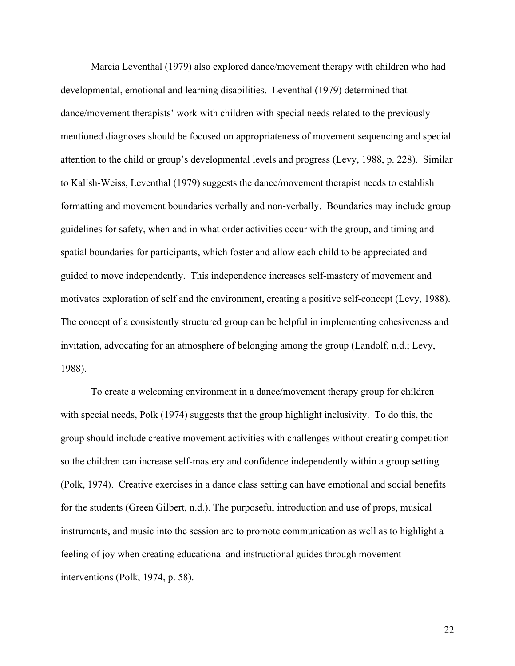Marcia Leventhal (1979) also explored dance/movement therapy with children who had developmental, emotional and learning disabilities. Leventhal (1979) determined that dance/movement therapists' work with children with special needs related to the previously mentioned diagnoses should be focused on appropriateness of movement sequencing and special attention to the child or group's developmental levels and progress (Levy, 1988, p. 228). Similar to Kalish-Weiss, Leventhal (1979) suggests the dance/movement therapist needs to establish formatting and movement boundaries verbally and non-verbally. Boundaries may include group guidelines for safety, when and in what order activities occur with the group, and timing and spatial boundaries for participants, which foster and allow each child to be appreciated and guided to move independently. This independence increases self-mastery of movement and motivates exploration of self and the environment, creating a positive self-concept (Levy, 1988). The concept of a consistently structured group can be helpful in implementing cohesiveness and invitation, advocating for an atmosphere of belonging among the group (Landolf, n.d.; Levy, 1988).

To create a welcoming environment in a dance/movement therapy group for children with special needs, Polk (1974) suggests that the group highlight inclusivity. To do this, the group should include creative movement activities with challenges without creating competition so the children can increase self-mastery and confidence independently within a group setting (Polk, 1974). Creative exercises in a dance class setting can have emotional and social benefits for the students (Green Gilbert, n.d.). The purposeful introduction and use of props, musical instruments, and music into the session are to promote communication as well as to highlight a feeling of joy when creating educational and instructional guides through movement interventions (Polk, 1974, p. 58).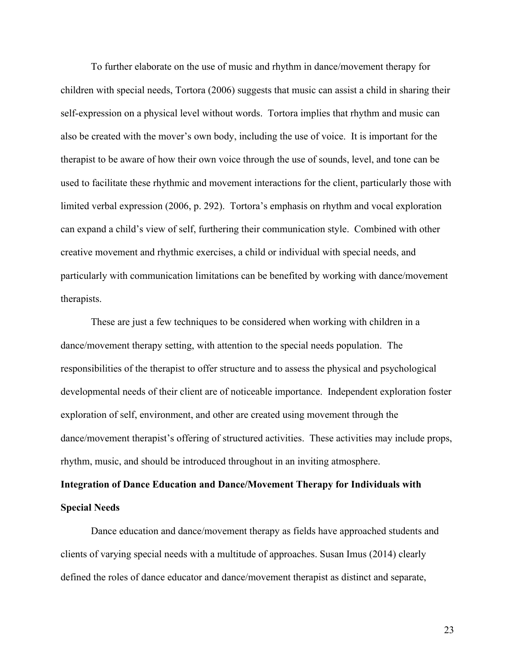To further elaborate on the use of music and rhythm in dance/movement therapy for children with special needs, Tortora (2006) suggests that music can assist a child in sharing their self-expression on a physical level without words. Tortora implies that rhythm and music can also be created with the mover's own body, including the use of voice. It is important for the therapist to be aware of how their own voice through the use of sounds, level, and tone can be used to facilitate these rhythmic and movement interactions for the client, particularly those with limited verbal expression (2006, p. 292). Tortora's emphasis on rhythm and vocal exploration can expand a child's view of self, furthering their communication style. Combined with other creative movement and rhythmic exercises, a child or individual with special needs, and particularly with communication limitations can be benefited by working with dance/movement therapists.

These are just a few techniques to be considered when working with children in a dance/movement therapy setting, with attention to the special needs population. The responsibilities of the therapist to offer structure and to assess the physical and psychological developmental needs of their client are of noticeable importance. Independent exploration foster exploration of self, environment, and other are created using movement through the dance/movement therapist's offering of structured activities. These activities may include props, rhythm, music, and should be introduced throughout in an inviting atmosphere.

## **Integration of Dance Education and Dance/Movement Therapy for Individuals with Special Needs**

Dance education and dance/movement therapy as fields have approached students and clients of varying special needs with a multitude of approaches. Susan Imus (2014) clearly defined the roles of dance educator and dance/movement therapist as distinct and separate,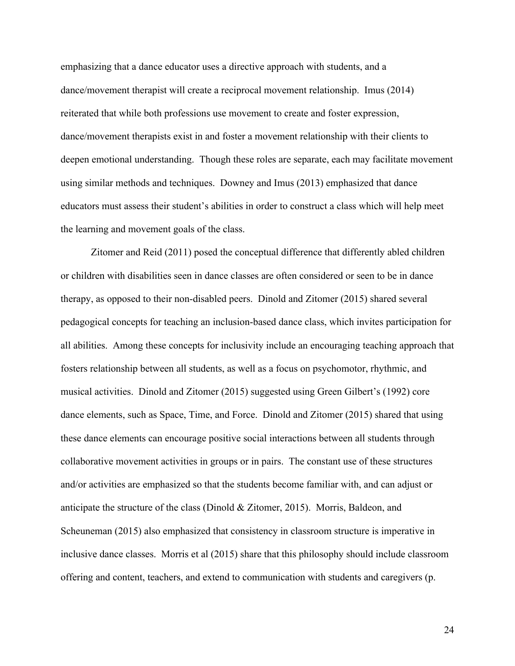emphasizing that a dance educator uses a directive approach with students, and a dance/movement therapist will create a reciprocal movement relationship. Imus (2014) reiterated that while both professions use movement to create and foster expression, dance/movement therapists exist in and foster a movement relationship with their clients to deepen emotional understanding. Though these roles are separate, each may facilitate movement using similar methods and techniques. Downey and Imus (2013) emphasized that dance educators must assess their student's abilities in order to construct a class which will help meet the learning and movement goals of the class.

Zitomer and Reid (2011) posed the conceptual difference that differently abled children or children with disabilities seen in dance classes are often considered or seen to be in dance therapy, as opposed to their non-disabled peers. Dinold and Zitomer (2015) shared several pedagogical concepts for teaching an inclusion-based dance class, which invites participation for all abilities. Among these concepts for inclusivity include an encouraging teaching approach that fosters relationship between all students, as well as a focus on psychomotor, rhythmic, and musical activities. Dinold and Zitomer (2015) suggested using Green Gilbert's (1992) core dance elements, such as Space, Time, and Force. Dinold and Zitomer (2015) shared that using these dance elements can encourage positive social interactions between all students through collaborative movement activities in groups or in pairs. The constant use of these structures and/or activities are emphasized so that the students become familiar with, and can adjust or anticipate the structure of the class (Dinold & Zitomer, 2015). Morris, Baldeon, and Scheuneman (2015) also emphasized that consistency in classroom structure is imperative in inclusive dance classes. Morris et al (2015) share that this philosophy should include classroom offering and content, teachers, and extend to communication with students and caregivers (p.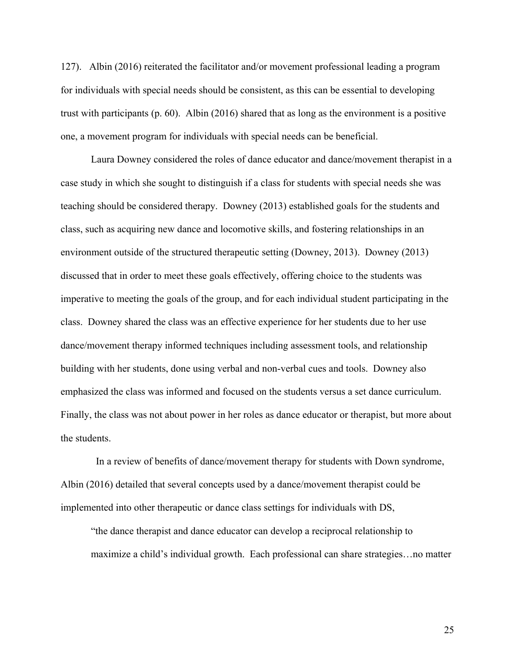127). Albin (2016) reiterated the facilitator and/or movement professional leading a program for individuals with special needs should be consistent, as this can be essential to developing trust with participants (p. 60). Albin (2016) shared that as long as the environment is a positive one, a movement program for individuals with special needs can be beneficial.

Laura Downey considered the roles of dance educator and dance/movement therapist in a case study in which she sought to distinguish if a class for students with special needs she was teaching should be considered therapy. Downey (2013) established goals for the students and class, such as acquiring new dance and locomotive skills, and fostering relationships in an environment outside of the structured therapeutic setting (Downey, 2013). Downey (2013) discussed that in order to meet these goals effectively, offering choice to the students was imperative to meeting the goals of the group, and for each individual student participating in the class. Downey shared the class was an effective experience for her students due to her use dance/movement therapy informed techniques including assessment tools, and relationship building with her students, done using verbal and non-verbal cues and tools. Downey also emphasized the class was informed and focused on the students versus a set dance curriculum. Finally, the class was not about power in her roles as dance educator or therapist, but more about the students.

 In a review of benefits of dance/movement therapy for students with Down syndrome, Albin (2016) detailed that several concepts used by a dance/movement therapist could be implemented into other therapeutic or dance class settings for individuals with DS,

"the dance therapist and dance educator can develop a reciprocal relationship to maximize a child's individual growth. Each professional can share strategies…no matter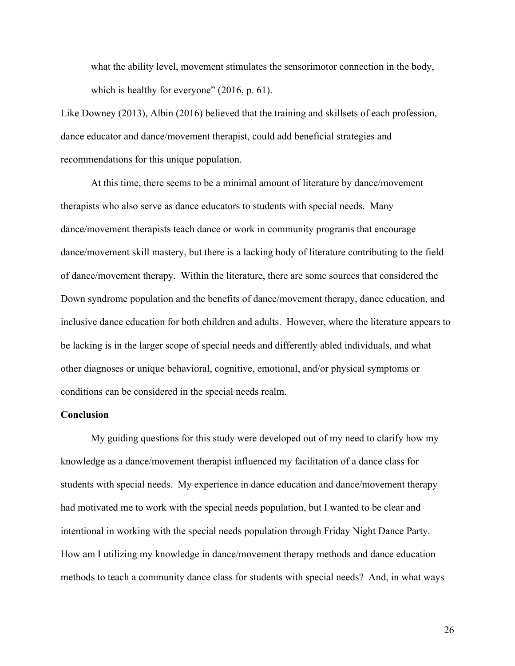what the ability level, movement stimulates the sensorimotor connection in the body, which is healthy for everyone" (2016, p. 61).

Like Downey (2013), Albin (2016) believed that the training and skillsets of each profession, dance educator and dance/movement therapist, could add beneficial strategies and recommendations for this unique population.

At this time, there seems to be a minimal amount of literature by dance/movement therapists who also serve as dance educators to students with special needs. Many dance/movement therapists teach dance or work in community programs that encourage dance/movement skill mastery, but there is a lacking body of literature contributing to the field of dance/movement therapy. Within the literature, there are some sources that considered the Down syndrome population and the benefits of dance/movement therapy, dance education, and inclusive dance education for both children and adults. However, where the literature appears to be lacking is in the larger scope of special needs and differently abled individuals, and what other diagnoses or unique behavioral, cognitive, emotional, and/or physical symptoms or conditions can be considered in the special needs realm.

#### **Conclusion**

My guiding questions for this study were developed out of my need to clarify how my knowledge as a dance/movement therapist influenced my facilitation of a dance class for students with special needs. My experience in dance education and dance/movement therapy had motivated me to work with the special needs population, but I wanted to be clear and intentional in working with the special needs population through Friday Night Dance Party. How am I utilizing my knowledge in dance/movement therapy methods and dance education methods to teach a community dance class for students with special needs? And, in what ways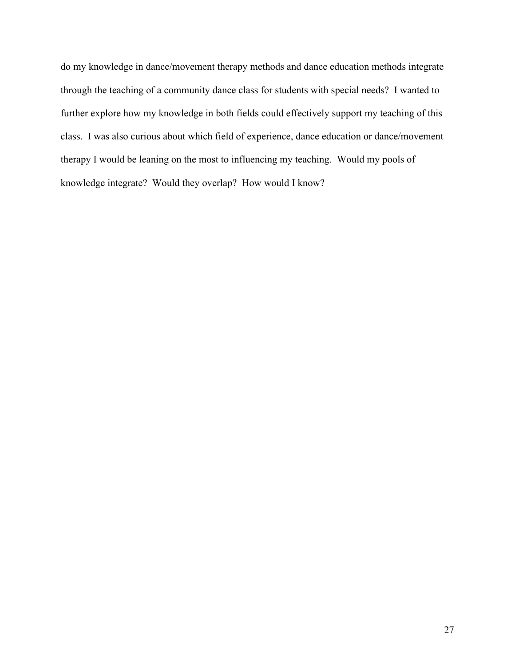do my knowledge in dance/movement therapy methods and dance education methods integrate through the teaching of a community dance class for students with special needs? I wanted to further explore how my knowledge in both fields could effectively support my teaching of this class. I was also curious about which field of experience, dance education or dance/movement therapy I would be leaning on the most to influencing my teaching. Would my pools of knowledge integrate? Would they overlap? How would I know?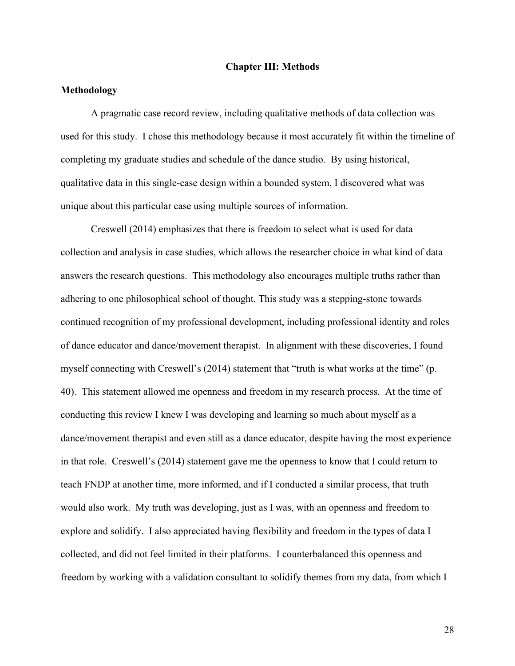#### **Chapter III: Methods**

#### **Methodology**

A pragmatic case record review, including qualitative methods of data collection was used for this study. I chose this methodology because it most accurately fit within the timeline of completing my graduate studies and schedule of the dance studio. By using historical, qualitative data in this single-case design within a bounded system, I discovered what was unique about this particular case using multiple sources of information.

Creswell (2014) emphasizes that there is freedom to select what is used for data collection and analysis in case studies, which allows the researcher choice in what kind of data answers the research questions. This methodology also encourages multiple truths rather than adhering to one philosophical school of thought. This study was a stepping-stone towards continued recognition of my professional development, including professional identity and roles of dance educator and dance/movement therapist. In alignment with these discoveries, I found myself connecting with Creswell's (2014) statement that "truth is what works at the time" (p. 40). This statement allowed me openness and freedom in my research process. At the time of conducting this review I knew I was developing and learning so much about myself as a dance/movement therapist and even still as a dance educator, despite having the most experience in that role. Creswell's (2014) statement gave me the openness to know that I could return to teach FNDP at another time, more informed, and if I conducted a similar process, that truth would also work. My truth was developing, just as I was, with an openness and freedom to explore and solidify. I also appreciated having flexibility and freedom in the types of data I collected, and did not feel limited in their platforms. I counterbalanced this openness and freedom by working with a validation consultant to solidify themes from my data, from which I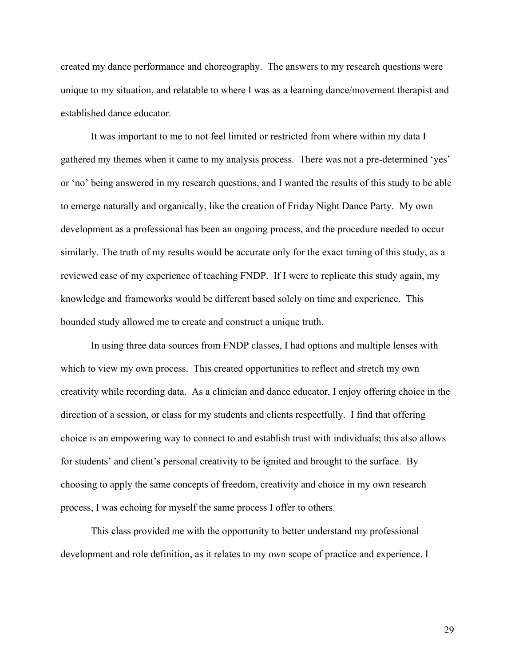created my dance performance and choreography. The answers to my research questions were unique to my situation, and relatable to where I was as a learning dance/movement therapist and established dance educator.

It was important to me to not feel limited or restricted from where within my data I gathered my themes when it came to my analysis process. There was not a pre-determined 'yes' or 'no' being answered in my research questions, and I wanted the results of this study to be able to emerge naturally and organically, like the creation of Friday Night Dance Party. My own development as a professional has been an ongoing process, and the procedure needed to occur similarly. The truth of my results would be accurate only for the exact timing of this study, as a reviewed case of my experience of teaching FNDP. If I were to replicate this study again, my knowledge and frameworks would be different based solely on time and experience. This bounded study allowed me to create and construct a unique truth.

In using three data sources from FNDP classes, I had options and multiple lenses with which to view my own process. This created opportunities to reflect and stretch my own creativity while recording data. As a clinician and dance educator, I enjoy offering choice in the direction of a session, or class for my students and clients respectfully. I find that offering choice is an empowering way to connect to and establish trust with individuals; this also allows for students' and client's personal creativity to be ignited and brought to the surface. By choosing to apply the same concepts of freedom, creativity and choice in my own research process, I was echoing for myself the same process I offer to others.

This class provided me with the opportunity to better understand my professional development and role definition, as it relates to my own scope of practice and experience. I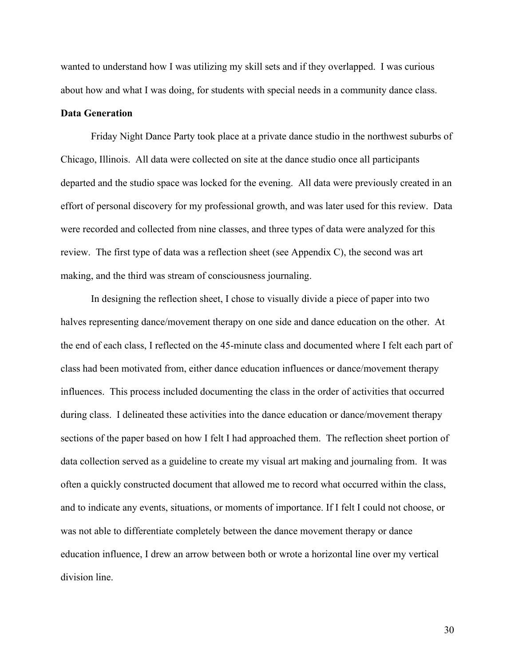wanted to understand how I was utilizing my skill sets and if they overlapped. I was curious about how and what I was doing, for students with special needs in a community dance class.

#### **Data Generation**

Friday Night Dance Party took place at a private dance studio in the northwest suburbs of Chicago, Illinois. All data were collected on site at the dance studio once all participants departed and the studio space was locked for the evening. All data were previously created in an effort of personal discovery for my professional growth, and was later used for this review. Data were recorded and collected from nine classes, and three types of data were analyzed for this review. The first type of data was a reflection sheet (see Appendix C), the second was art making, and the third was stream of consciousness journaling.

In designing the reflection sheet, I chose to visually divide a piece of paper into two halves representing dance/movement therapy on one side and dance education on the other. At the end of each class, I reflected on the 45-minute class and documented where I felt each part of class had been motivated from, either dance education influences or dance/movement therapy influences. This process included documenting the class in the order of activities that occurred during class. I delineated these activities into the dance education or dance/movement therapy sections of the paper based on how I felt I had approached them. The reflection sheet portion of data collection served as a guideline to create my visual art making and journaling from. It was often a quickly constructed document that allowed me to record what occurred within the class, and to indicate any events, situations, or moments of importance. If I felt I could not choose, or was not able to differentiate completely between the dance movement therapy or dance education influence, I drew an arrow between both or wrote a horizontal line over my vertical division line.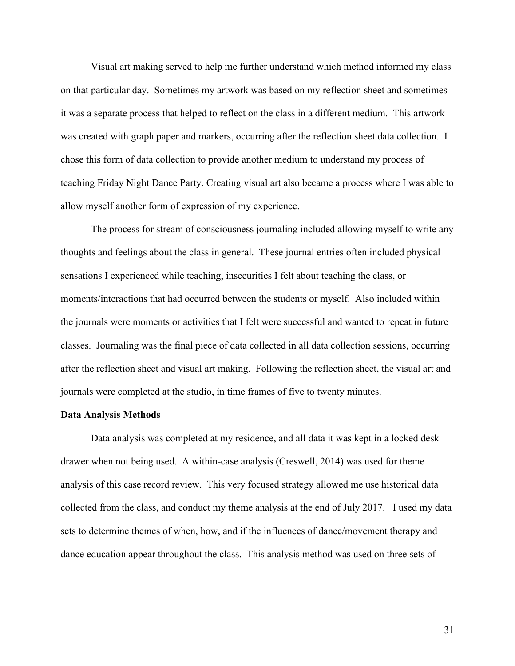Visual art making served to help me further understand which method informed my class on that particular day. Sometimes my artwork was based on my reflection sheet and sometimes it was a separate process that helped to reflect on the class in a different medium. This artwork was created with graph paper and markers, occurring after the reflection sheet data collection. I chose this form of data collection to provide another medium to understand my process of teaching Friday Night Dance Party. Creating visual art also became a process where I was able to allow myself another form of expression of my experience.

The process for stream of consciousness journaling included allowing myself to write any thoughts and feelings about the class in general. These journal entries often included physical sensations I experienced while teaching, insecurities I felt about teaching the class, or moments/interactions that had occurred between the students or myself. Also included within the journals were moments or activities that I felt were successful and wanted to repeat in future classes. Journaling was the final piece of data collected in all data collection sessions, occurring after the reflection sheet and visual art making. Following the reflection sheet, the visual art and journals were completed at the studio, in time frames of five to twenty minutes.

#### **Data Analysis Methods**

Data analysis was completed at my residence, and all data it was kept in a locked desk drawer when not being used. A within-case analysis (Creswell, 2014) was used for theme analysis of this case record review. This very focused strategy allowed me use historical data collected from the class, and conduct my theme analysis at the end of July 2017. I used my data sets to determine themes of when, how, and if the influences of dance/movement therapy and dance education appear throughout the class. This analysis method was used on three sets of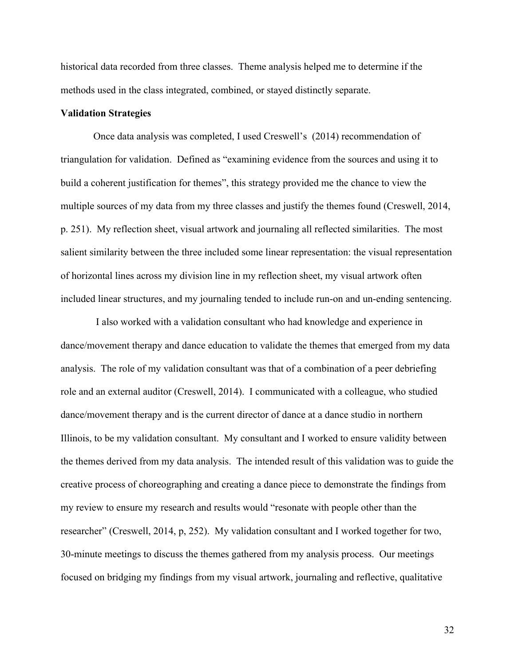historical data recorded from three classes. Theme analysis helped me to determine if the methods used in the class integrated, combined, or stayed distinctly separate.

## **Validation Strategies**

Once data analysis was completed, I used Creswell's (2014) recommendation of triangulation for validation. Defined as "examining evidence from the sources and using it to build a coherent justification for themes", this strategy provided me the chance to view the multiple sources of my data from my three classes and justify the themes found (Creswell, 2014, p. 251). My reflection sheet, visual artwork and journaling all reflected similarities. The most salient similarity between the three included some linear representation: the visual representation of horizontal lines across my division line in my reflection sheet, my visual artwork often included linear structures, and my journaling tended to include run-on and un-ending sentencing.

 I also worked with a validation consultant who had knowledge and experience in dance/movement therapy and dance education to validate the themes that emerged from my data analysis. The role of my validation consultant was that of a combination of a peer debriefing role and an external auditor (Creswell, 2014). I communicated with a colleague, who studied dance/movement therapy and is the current director of dance at a dance studio in northern Illinois, to be my validation consultant. My consultant and I worked to ensure validity between the themes derived from my data analysis. The intended result of this validation was to guide the creative process of choreographing and creating a dance piece to demonstrate the findings from my review to ensure my research and results would "resonate with people other than the researcher" (Creswell, 2014, p, 252). My validation consultant and I worked together for two, 30-minute meetings to discuss the themes gathered from my analysis process. Our meetings focused on bridging my findings from my visual artwork, journaling and reflective, qualitative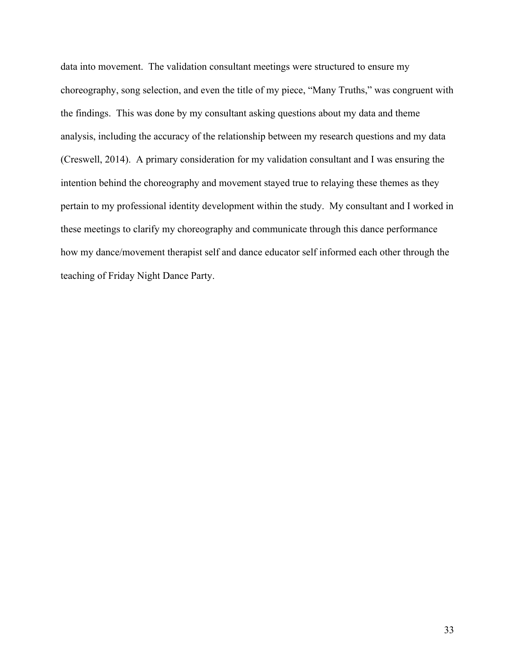data into movement. The validation consultant meetings were structured to ensure my choreography, song selection, and even the title of my piece, "Many Truths," was congruent with the findings. This was done by my consultant asking questions about my data and theme analysis, including the accuracy of the relationship between my research questions and my data (Creswell, 2014). A primary consideration for my validation consultant and I was ensuring the intention behind the choreography and movement stayed true to relaying these themes as they pertain to my professional identity development within the study. My consultant and I worked in these meetings to clarify my choreography and communicate through this dance performance how my dance/movement therapist self and dance educator self informed each other through the teaching of Friday Night Dance Party.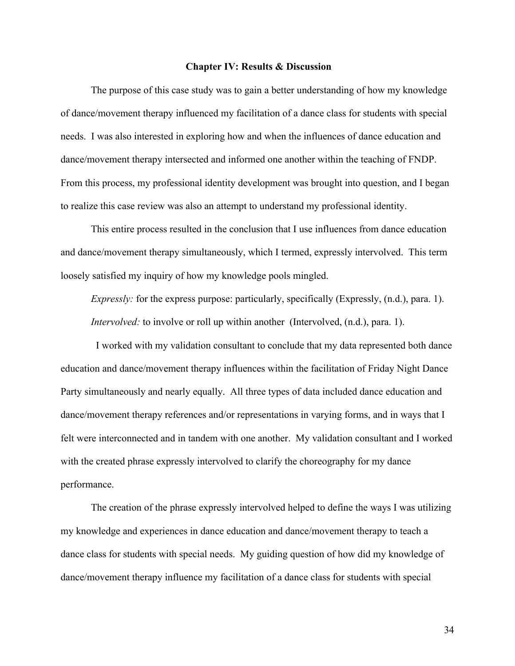#### **Chapter IV: Results & Discussion**

The purpose of this case study was to gain a better understanding of how my knowledge of dance/movement therapy influenced my facilitation of a dance class for students with special needs. I was also interested in exploring how and when the influences of dance education and dance/movement therapy intersected and informed one another within the teaching of FNDP. From this process, my professional identity development was brought into question, and I began to realize this case review was also an attempt to understand my professional identity.

This entire process resulted in the conclusion that I use influences from dance education and dance/movement therapy simultaneously, which I termed, expressly intervolved. This term loosely satisfied my inquiry of how my knowledge pools mingled.

*Expressly:* for the express purpose: particularly, specifically (Expressly, (n.d.), para. 1). *Intervolved:* to involve or roll up within another (Intervolved,  $(n.d.)$ , para. 1).

 I worked with my validation consultant to conclude that my data represented both dance education and dance/movement therapy influences within the facilitation of Friday Night Dance Party simultaneously and nearly equally. All three types of data included dance education and dance/movement therapy references and/or representations in varying forms, and in ways that I felt were interconnected and in tandem with one another. My validation consultant and I worked with the created phrase expressly intervolved to clarify the choreography for my dance performance.

The creation of the phrase expressly intervolved helped to define the ways I was utilizing my knowledge and experiences in dance education and dance/movement therapy to teach a dance class for students with special needs.My guiding question of how did my knowledge of dance/movement therapy influence my facilitation of a dance class for students with special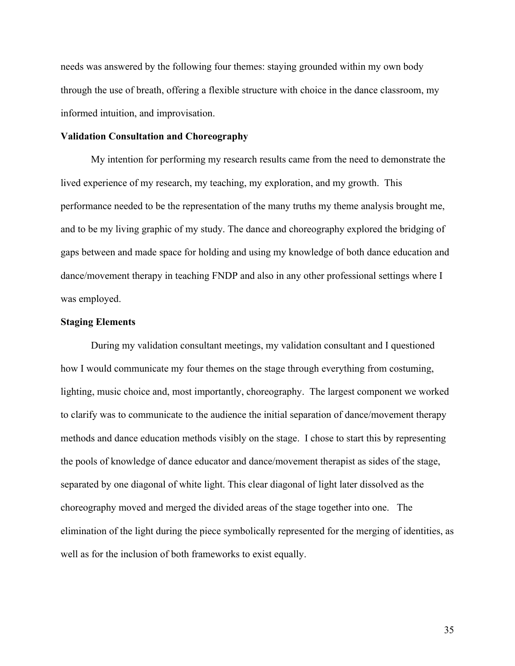needs was answered by the following four themes: staying grounded within my own body through the use of breath, offering a flexible structure with choice in the dance classroom, my informed intuition, and improvisation.

### **Validation Consultation and Choreography**

My intention for performing my research results came from the need to demonstrate the lived experience of my research, my teaching, my exploration, and my growth. This performance needed to be the representation of the many truths my theme analysis brought me, and to be my living graphic of my study. The dance and choreography explored the bridging of gaps between and made space for holding and using my knowledge of both dance education and dance/movement therapy in teaching FNDP and also in any other professional settings where I was employed.

# **Staging Elements**

During my validation consultant meetings, my validation consultant and I questioned how I would communicate my four themes on the stage through everything from costuming, lighting, music choice and, most importantly, choreography. The largest component we worked to clarify was to communicate to the audience the initial separation of dance/movement therapy methods and dance education methods visibly on the stage. I chose to start this by representing the pools of knowledge of dance educator and dance/movement therapist as sides of the stage, separated by one diagonal of white light. This clear diagonal of light later dissolved as the choreography moved and merged the divided areas of the stage together into one. The elimination of the light during the piece symbolically represented for the merging of identities, as well as for the inclusion of both frameworks to exist equally.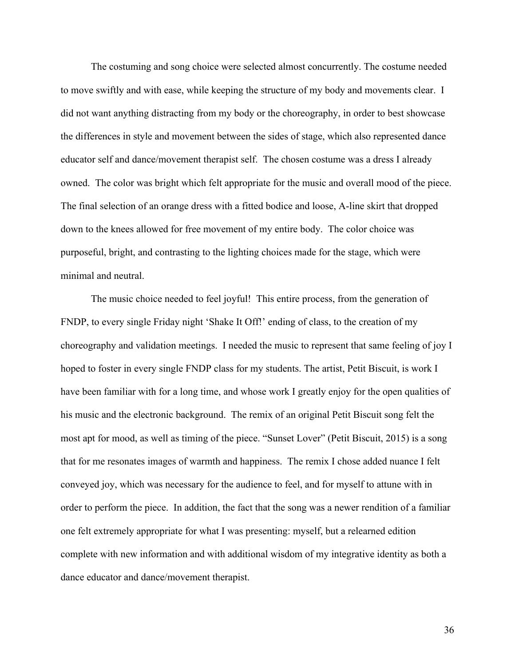The costuming and song choice were selected almost concurrently. The costume needed to move swiftly and with ease, while keeping the structure of my body and movements clear. I did not want anything distracting from my body or the choreography, in order to best showcase the differences in style and movement between the sides of stage, which also represented dance educator self and dance/movement therapist self. The chosen costume was a dress I already owned. The color was bright which felt appropriate for the music and overall mood of the piece. The final selection of an orange dress with a fitted bodice and loose, A-line skirt that dropped down to the knees allowed for free movement of my entire body. The color choice was purposeful, bright, and contrasting to the lighting choices made for the stage, which were minimal and neutral.

The music choice needed to feel joyful! This entire process, from the generation of FNDP, to every single Friday night 'Shake It Off!' ending of class, to the creation of my choreography and validation meetings. I needed the music to represent that same feeling of joy I hoped to foster in every single FNDP class for my students. The artist, Petit Biscuit, is work I have been familiar with for a long time, and whose work I greatly enjoy for the open qualities of his music and the electronic background. The remix of an original Petit Biscuit song felt the most apt for mood, as well as timing of the piece. "Sunset Lover" (Petit Biscuit, 2015) is a song that for me resonates images of warmth and happiness. The remix I chose added nuance I felt conveyed joy, which was necessary for the audience to feel, and for myself to attune with in order to perform the piece. In addition, the fact that the song was a newer rendition of a familiar one felt extremely appropriate for what I was presenting: myself, but a relearned edition complete with new information and with additional wisdom of my integrative identity as both a dance educator and dance/movement therapist.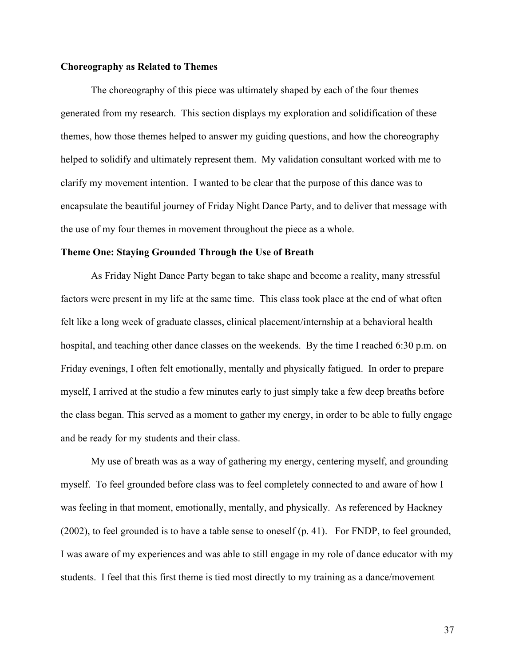## **Choreography as Related to Themes**

The choreography of this piece was ultimately shaped by each of the four themes generated from my research. This section displays my exploration and solidification of these themes, how those themes helped to answer my guiding questions, and how the choreography helped to solidify and ultimately represent them. My validation consultant worked with me to clarify my movement intention. I wanted to be clear that the purpose of this dance was to encapsulate the beautiful journey of Friday Night Dance Party, and to deliver that message with the use of my four themes in movement throughout the piece as a whole.

#### **Theme One: Staying Grounded Through the Use of Breath**

As Friday Night Dance Party began to take shape and become a reality, many stressful factors were present in my life at the same time. This class took place at the end of what often felt like a long week of graduate classes, clinical placement/internship at a behavioral health hospital, and teaching other dance classes on the weekends. By the time I reached 6:30 p.m. on Friday evenings, I often felt emotionally, mentally and physically fatigued. In order to prepare myself, I arrived at the studio a few minutes early to just simply take a few deep breaths before the class began. This served as a moment to gather my energy, in order to be able to fully engage and be ready for my students and their class.

My use of breath was as a way of gathering my energy, centering myself, and grounding myself. To feel grounded before class was to feel completely connected to and aware of how I was feeling in that moment, emotionally, mentally, and physically. As referenced by Hackney (2002), to feel grounded is to have a table sense to oneself (p. 41). For FNDP, to feel grounded, I was aware of my experiences and was able to still engage in my role of dance educator with my students. I feel that this first theme is tied most directly to my training as a dance/movement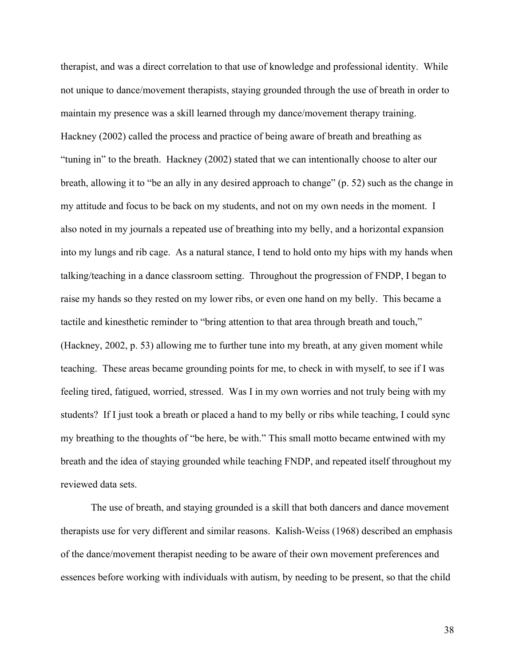therapist, and was a direct correlation to that use of knowledge and professional identity. While not unique to dance/movement therapists, staying grounded through the use of breath in order to maintain my presence was a skill learned through my dance/movement therapy training. Hackney (2002) called the process and practice of being aware of breath and breathing as "tuning in" to the breath. Hackney (2002) stated that we can intentionally choose to alter our breath, allowing it to "be an ally in any desired approach to change" (p. 52) such as the change in my attitude and focus to be back on my students, and not on my own needs in the moment. I also noted in my journals a repeated use of breathing into my belly, and a horizontal expansion into my lungs and rib cage. As a natural stance, I tend to hold onto my hips with my hands when talking/teaching in a dance classroom setting. Throughout the progression of FNDP, I began to raise my hands so they rested on my lower ribs, or even one hand on my belly. This became a tactile and kinesthetic reminder to "bring attention to that area through breath and touch," (Hackney, 2002, p. 53) allowing me to further tune into my breath, at any given moment while teaching. These areas became grounding points for me, to check in with myself, to see if I was feeling tired, fatigued, worried, stressed. Was I in my own worries and not truly being with my students? If I just took a breath or placed a hand to my belly or ribs while teaching, I could sync my breathing to the thoughts of "be here, be with." This small motto became entwined with my breath and the idea of staying grounded while teaching FNDP, and repeated itself throughout my reviewed data sets.

The use of breath, and staying grounded is a skill that both dancers and dance movement therapists use for very different and similar reasons. Kalish-Weiss (1968) described an emphasis of the dance/movement therapist needing to be aware of their own movement preferences and essences before working with individuals with autism, by needing to be present, so that the child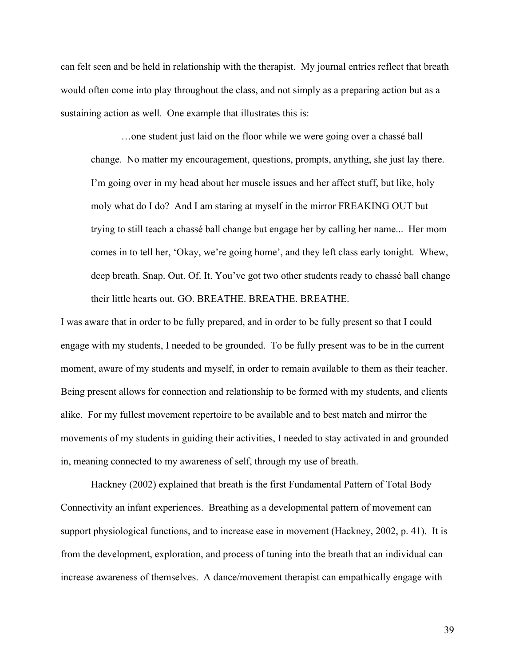can felt seen and be held in relationship with the therapist. My journal entries reflect that breath would often come into play throughout the class, and not simply as a preparing action but as a sustaining action as well. One example that illustrates this is:

…one student just laid on the floor while we were going over a chassé ball change. No matter my encouragement, questions, prompts, anything, she just lay there. I'm going over in my head about her muscle issues and her affect stuff, but like, holy moly what do I do? And I am staring at myself in the mirror FREAKING OUT but trying to still teach a chassé ball change but engage her by calling her name... Her mom comes in to tell her, 'Okay, we're going home', and they left class early tonight. Whew, deep breath. Snap. Out. Of. It. You've got two other students ready to chassé ball change their little hearts out. GO. BREATHE. BREATHE. BREATHE.

I was aware that in order to be fully prepared, and in order to be fully present so that I could engage with my students, I needed to be grounded. To be fully present was to be in the current moment, aware of my students and myself, in order to remain available to them as their teacher. Being present allows for connection and relationship to be formed with my students, and clients alike. For my fullest movement repertoire to be available and to best match and mirror the movements of my students in guiding their activities, I needed to stay activated in and grounded in, meaning connected to my awareness of self, through my use of breath.

Hackney (2002) explained that breath is the first Fundamental Pattern of Total Body Connectivity an infant experiences. Breathing as a developmental pattern of movement can support physiological functions, and to increase ease in movement (Hackney, 2002, p. 41). It is from the development, exploration, and process of tuning into the breath that an individual can increase awareness of themselves. A dance/movement therapist can empathically engage with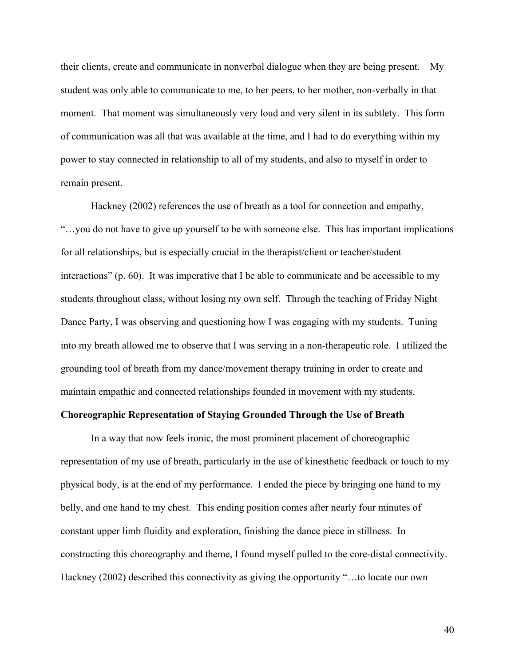their clients, create and communicate in nonverbal dialogue when they are being present. My student was only able to communicate to me, to her peers, to her mother, non-verbally in that moment. That moment was simultaneously very loud and very silent in its subtlety. This form of communication was all that was available at the time, and I had to do everything within my power to stay connected in relationship to all of my students, and also to myself in order to remain present.

Hackney (2002) references the use of breath as a tool for connection and empathy, "…you do not have to give up yourself to be with someone else. This has important implications for all relationships, but is especially crucial in the therapist/client or teacher/student interactions" (p. 60). It was imperative that I be able to communicate and be accessible to my students throughout class, without losing my own self. Through the teaching of Friday Night Dance Party, I was observing and questioning how I was engaging with my students. Tuning into my breath allowed me to observe that I was serving in a non-therapeutic role. I utilized the grounding tool of breath from my dance/movement therapy training in order to create and maintain empathic and connected relationships founded in movement with my students.

# **Choreographic Representation of Staying Grounded Through the Use of Breath**

In a way that now feels ironic, the most prominent placement of choreographic representation of my use of breath, particularly in the use of kinesthetic feedback or touch to my physical body, is at the end of my performance. I ended the piece by bringing one hand to my belly, and one hand to my chest. This ending position comes after nearly four minutes of constant upper limb fluidity and exploration, finishing the dance piece in stillness. In constructing this choreography and theme, I found myself pulled to the core-distal connectivity. Hackney (2002) described this connectivity as giving the opportunity "…to locate our own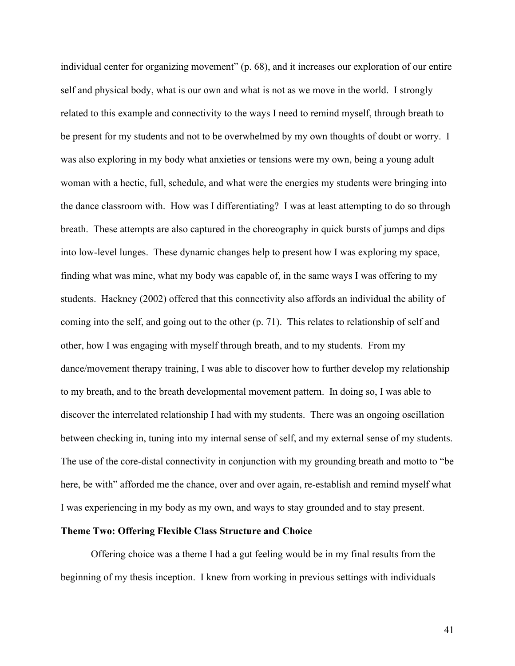individual center for organizing movement" (p. 68), and it increases our exploration of our entire self and physical body, what is our own and what is not as we move in the world. I strongly related to this example and connectivity to the ways I need to remind myself, through breath to be present for my students and not to be overwhelmed by my own thoughts of doubt or worry. I was also exploring in my body what anxieties or tensions were my own, being a young adult woman with a hectic, full, schedule, and what were the energies my students were bringing into the dance classroom with. How was I differentiating? I was at least attempting to do so through breath. These attempts are also captured in the choreography in quick bursts of jumps and dips into low-level lunges. These dynamic changes help to present how I was exploring my space, finding what was mine, what my body was capable of, in the same ways I was offering to my students. Hackney (2002) offered that this connectivity also affords an individual the ability of coming into the self, and going out to the other (p. 71). This relates to relationship of self and other, how I was engaging with myself through breath, and to my students. From my dance/movement therapy training, I was able to discover how to further develop my relationship to my breath, and to the breath developmental movement pattern. In doing so, I was able to discover the interrelated relationship I had with my students. There was an ongoing oscillation between checking in, tuning into my internal sense of self, and my external sense of my students. The use of the core-distal connectivity in conjunction with my grounding breath and motto to "be here, be with" afforded me the chance, over and over again, re-establish and remind myself what I was experiencing in my body as my own, and ways to stay grounded and to stay present.

# **Theme Two: Offering Flexible Class Structure and Choice**

Offering choice was a theme I had a gut feeling would be in my final results from the beginning of my thesis inception. I knew from working in previous settings with individuals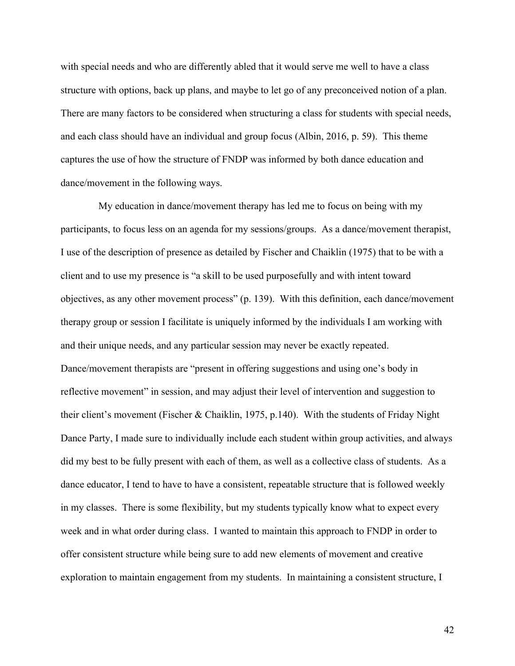with special needs and who are differently abled that it would serve me well to have a class structure with options, back up plans, and maybe to let go of any preconceived notion of a plan. There are many factors to be considered when structuring a class for students with special needs, and each class should have an individual and group focus (Albin, 2016, p. 59). This theme captures the use of how the structure of FNDP was informed by both dance education and dance/movement in the following ways.

 My education in dance/movement therapy has led me to focus on being with my participants, to focus less on an agenda for my sessions/groups. As a dance/movement therapist, I use of the description of presence as detailed by Fischer and Chaiklin (1975) that to be with a client and to use my presence is "a skill to be used purposefully and with intent toward objectives, as any other movement process" (p. 139). With this definition, each dance/movement therapy group or session I facilitate is uniquely informed by the individuals I am working with and their unique needs, and any particular session may never be exactly repeated. Dance/movement therapists are "present in offering suggestions and using one's body in reflective movement" in session, and may adjust their level of intervention and suggestion to their client's movement (Fischer & Chaiklin, 1975, p.140). With the students of Friday Night Dance Party, I made sure to individually include each student within group activities, and always did my best to be fully present with each of them, as well as a collective class of students. As a dance educator, I tend to have to have a consistent, repeatable structure that is followed weekly in my classes. There is some flexibility, but my students typically know what to expect every week and in what order during class. I wanted to maintain this approach to FNDP in order to offer consistent structure while being sure to add new elements of movement and creative exploration to maintain engagement from my students. In maintaining a consistent structure, I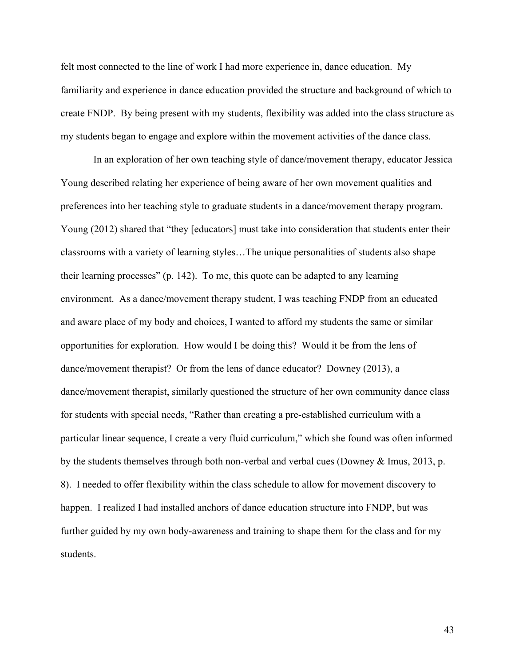felt most connected to the line of work I had more experience in, dance education. My familiarity and experience in dance education provided the structure and background of which to create FNDP. By being present with my students, flexibility was added into the class structure as my students began to engage and explore within the movement activities of the dance class.

In an exploration of her own teaching style of dance/movement therapy, educator Jessica Young described relating her experience of being aware of her own movement qualities and preferences into her teaching style to graduate students in a dance/movement therapy program. Young (2012) shared that "they [educators] must take into consideration that students enter their classrooms with a variety of learning styles…The unique personalities of students also shape their learning processes" (p. 142). To me, this quote can be adapted to any learning environment. As a dance/movement therapy student, I was teaching FNDP from an educated and aware place of my body and choices, I wanted to afford my students the same or similar opportunities for exploration. How would I be doing this? Would it be from the lens of dance/movement therapist? Or from the lens of dance educator? Downey (2013), a dance/movement therapist, similarly questioned the structure of her own community dance class for students with special needs, "Rather than creating a pre-established curriculum with a particular linear sequence, I create a very fluid curriculum," which she found was often informed by the students themselves through both non-verbal and verbal cues (Downey & Imus, 2013, p. 8). I needed to offer flexibility within the class schedule to allow for movement discovery to happen. I realized I had installed anchors of dance education structure into FNDP, but was further guided by my own body-awareness and training to shape them for the class and for my students.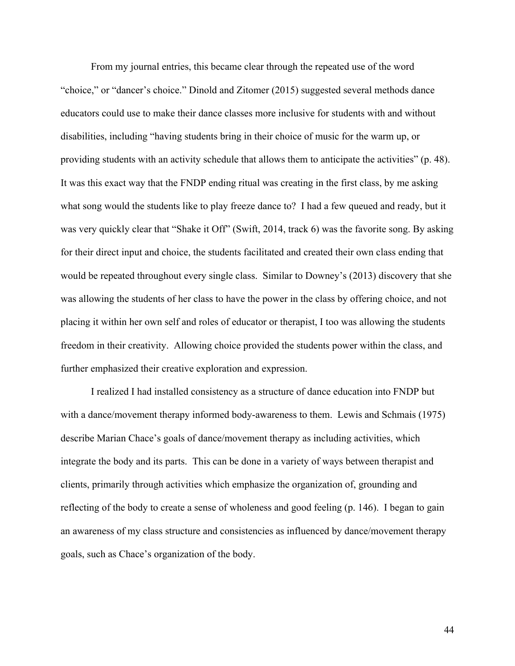From my journal entries, this became clear through the repeated use of the word "choice," or "dancer's choice." Dinold and Zitomer (2015) suggested several methods dance educators could use to make their dance classes more inclusive for students with and without disabilities, including "having students bring in their choice of music for the warm up, or providing students with an activity schedule that allows them to anticipate the activities" (p. 48). It was this exact way that the FNDP ending ritual was creating in the first class, by me asking what song would the students like to play freeze dance to? I had a few queued and ready, but it was very quickly clear that "Shake it Off" (Swift, 2014, track 6) was the favorite song. By asking for their direct input and choice, the students facilitated and created their own class ending that would be repeated throughout every single class. Similar to Downey's (2013) discovery that she was allowing the students of her class to have the power in the class by offering choice, and not placing it within her own self and roles of educator or therapist, I too was allowing the students freedom in their creativity. Allowing choice provided the students power within the class, and further emphasized their creative exploration and expression.

I realized I had installed consistency as a structure of dance education into FNDP but with a dance/movement therapy informed body-awareness to them. Lewis and Schmais (1975) describe Marian Chace's goals of dance/movement therapy as including activities, which integrate the body and its parts. This can be done in a variety of ways between therapist and clients, primarily through activities which emphasize the organization of, grounding and reflecting of the body to create a sense of wholeness and good feeling (p. 146). I began to gain an awareness of my class structure and consistencies as influenced by dance/movement therapy goals, such as Chace's organization of the body.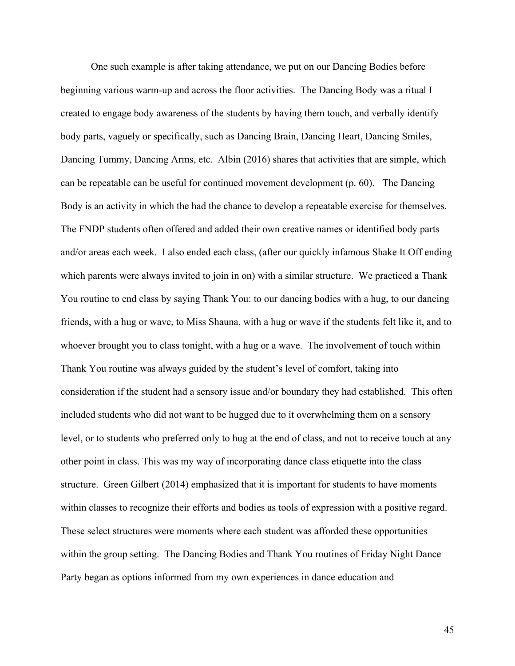One such example is after taking attendance, we put on our Dancing Bodies before beginning various warm-up and across the floor activities. The Dancing Body was a ritual I created to engage body awareness of the students by having them touch, and verbally identify body parts, vaguely or specifically, such as Dancing Brain, Dancing Heart, Dancing Smiles, Dancing Tummy, Dancing Arms, etc. Albin (2016) shares that activities that are simple, which can be repeatable can be useful for continued movement development (p. 60). The Dancing Body is an activity in which the had the chance to develop a repeatable exercise for themselves. The FNDP students often offered and added their own creative names or identified body parts and/or areas each week. I also ended each class, (after our quickly infamous Shake It Off ending which parents were always invited to join in on) with a similar structure. We practiced a Thank You routine to end class by saying Thank You: to our dancing bodies with a hug, to our dancing friends, with a hug or wave, to Miss Shauna, with a hug or wave if the students felt like it, and to whoever brought you to class tonight, with a hug or a wave. The involvement of touch within Thank You routine was always guided by the student's level of comfort, taking into consideration if the student had a sensory issue and/or boundary they had established. This often included students who did not want to be hugged due to it overwhelming them on a sensory level, or to students who preferred only to hug at the end of class, and not to receive touch at any other point in class. This was my way of incorporating dance class etiquette into the class structure. Green Gilbert (2014) emphasized that it is important for students to have moments within classes to recognize their efforts and bodies as tools of expression with a positive regard. These select structures were moments where each student was afforded these opportunities within the group setting. The Dancing Bodies and Thank You routines of Friday Night Dance Party began as options informed from my own experiences in dance education and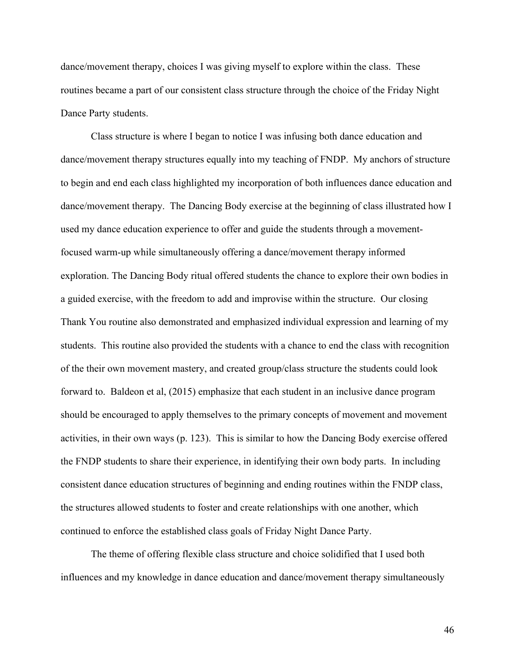dance/movement therapy, choices I was giving myself to explore within the class. These routines became a part of our consistent class structure through the choice of the Friday Night Dance Party students.

Class structure is where I began to notice I was infusing both dance education and dance/movement therapy structures equally into my teaching of FNDP. My anchors of structure to begin and end each class highlighted my incorporation of both influences dance education and dance/movement therapy. The Dancing Body exercise at the beginning of class illustrated how I used my dance education experience to offer and guide the students through a movementfocused warm-up while simultaneously offering a dance/movement therapy informed exploration. The Dancing Body ritual offered students the chance to explore their own bodies in a guided exercise, with the freedom to add and improvise within the structure. Our closing Thank You routine also demonstrated and emphasized individual expression and learning of my students. This routine also provided the students with a chance to end the class with recognition of the their own movement mastery, and created group/class structure the students could look forward to. Baldeon et al, (2015) emphasize that each student in an inclusive dance program should be encouraged to apply themselves to the primary concepts of movement and movement activities, in their own ways (p. 123). This is similar to how the Dancing Body exercise offered the FNDP students to share their experience, in identifying their own body parts. In including consistent dance education structures of beginning and ending routines within the FNDP class, the structures allowed students to foster and create relationships with one another, which continued to enforce the established class goals of Friday Night Dance Party.

The theme of offering flexible class structure and choice solidified that I used both influences and my knowledge in dance education and dance/movement therapy simultaneously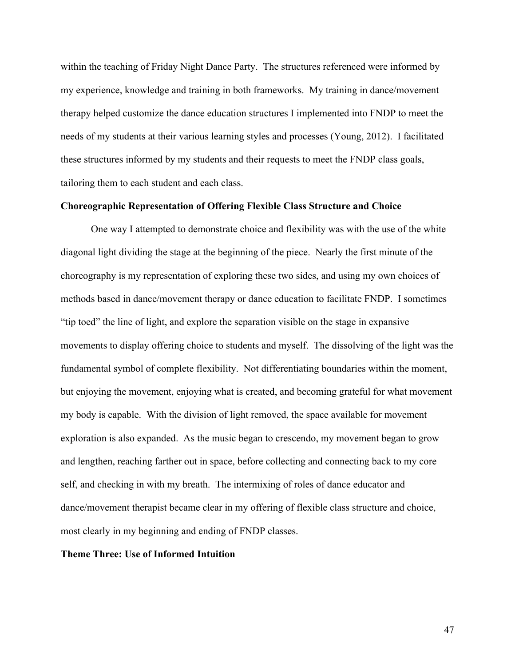within the teaching of Friday Night Dance Party. The structures referenced were informed by my experience, knowledge and training in both frameworks. My training in dance/movement therapy helped customize the dance education structures I implemented into FNDP to meet the needs of my students at their various learning styles and processes (Young, 2012). I facilitated these structures informed by my students and their requests to meet the FNDP class goals, tailoring them to each student and each class.

## **Choreographic Representation of Offering Flexible Class Structure and Choice**

One way I attempted to demonstrate choice and flexibility was with the use of the white diagonal light dividing the stage at the beginning of the piece. Nearly the first minute of the choreography is my representation of exploring these two sides, and using my own choices of methods based in dance/movement therapy or dance education to facilitate FNDP. I sometimes "tip toed" the line of light, and explore the separation visible on the stage in expansive movements to display offering choice to students and myself. The dissolving of the light was the fundamental symbol of complete flexibility. Not differentiating boundaries within the moment, but enjoying the movement, enjoying what is created, and becoming grateful for what movement my body is capable. With the division of light removed, the space available for movement exploration is also expanded. As the music began to crescendo, my movement began to grow and lengthen, reaching farther out in space, before collecting and connecting back to my core self, and checking in with my breath. The intermixing of roles of dance educator and dance/movement therapist became clear in my offering of flexible class structure and choice, most clearly in my beginning and ending of FNDP classes.

### **Theme Three: Use of Informed Intuition**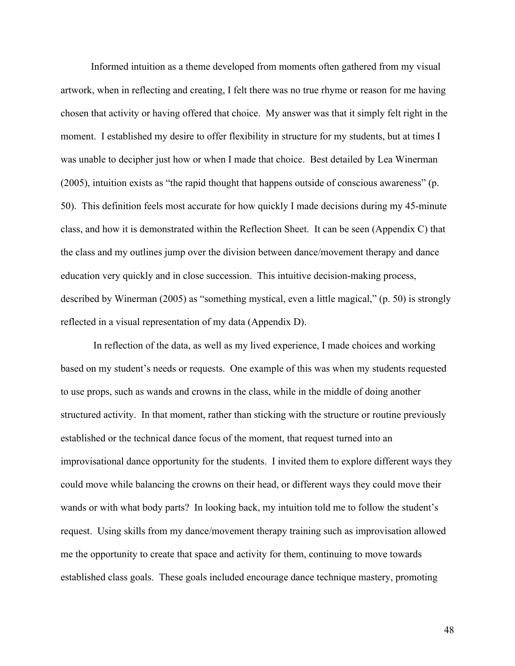Informed intuition as a theme developed from moments often gathered from my visual artwork, when in reflecting and creating, I felt there was no true rhyme or reason for me having chosen that activity or having offered that choice. My answer was that it simply felt right in the moment. I established my desire to offer flexibility in structure for my students, but at times I was unable to decipher just how or when I made that choice. Best detailed by Lea Winerman (2005), intuition exists as "the rapid thought that happens outside of conscious awareness" (p. 50). This definition feels most accurate for how quickly I made decisions during my 45-minute class, and how it is demonstrated within the Reflection Sheet. It can be seen (Appendix C) that the class and my outlines jump over the division between dance/movement therapy and dance education very quickly and in close succession. This intuitive decision-making process, described by Winerman (2005) as "something mystical, even a little magical," (p. 50) is strongly reflected in a visual representation of my data (Appendix D).

In reflection of the data, as well as my lived experience, I made choices and working based on my student's needs or requests. One example of this was when my students requested to use props, such as wands and crowns in the class, while in the middle of doing another structured activity. In that moment, rather than sticking with the structure or routine previously established or the technical dance focus of the moment, that request turned into an improvisational dance opportunity for the students. I invited them to explore different ways they could move while balancing the crowns on their head, or different ways they could move their wands or with what body parts? In looking back, my intuition told me to follow the student's request. Using skills from my dance/movement therapy training such as improvisation allowed me the opportunity to create that space and activity for them, continuing to move towards established class goals. These goals included encourage dance technique mastery, promoting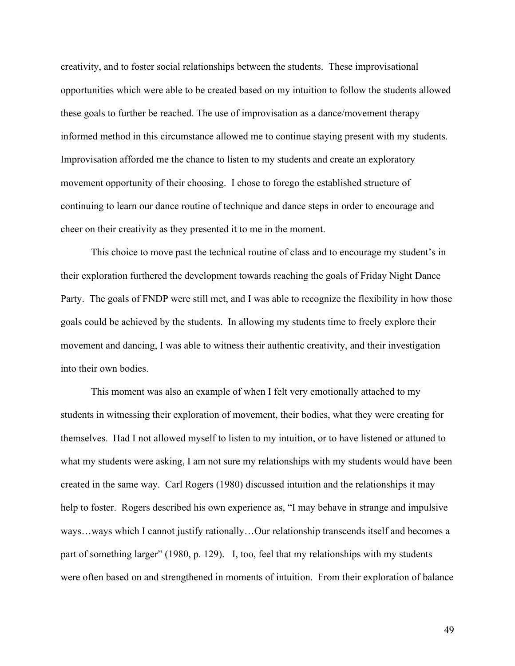creativity, and to foster social relationships between the students. These improvisational opportunities which were able to be created based on my intuition to follow the students allowed these goals to further be reached. The use of improvisation as a dance/movement therapy informed method in this circumstance allowed me to continue staying present with my students. Improvisation afforded me the chance to listen to my students and create an exploratory movement opportunity of their choosing. I chose to forego the established structure of continuing to learn our dance routine of technique and dance steps in order to encourage and cheer on their creativity as they presented it to me in the moment.

This choice to move past the technical routine of class and to encourage my student's in their exploration furthered the development towards reaching the goals of Friday Night Dance Party. The goals of FNDP were still met, and I was able to recognize the flexibility in how those goals could be achieved by the students. In allowing my students time to freely explore their movement and dancing, I was able to witness their authentic creativity, and their investigation into their own bodies.

This moment was also an example of when I felt very emotionally attached to my students in witnessing their exploration of movement, their bodies, what they were creating for themselves. Had I not allowed myself to listen to my intuition, or to have listened or attuned to what my students were asking, I am not sure my relationships with my students would have been created in the same way. Carl Rogers (1980) discussed intuition and the relationships it may help to foster. Rogers described his own experience as, "I may behave in strange and impulsive ways…ways which I cannot justify rationally…Our relationship transcends itself and becomes a part of something larger" (1980, p. 129). I, too, feel that my relationships with my students were often based on and strengthened in moments of intuition. From their exploration of balance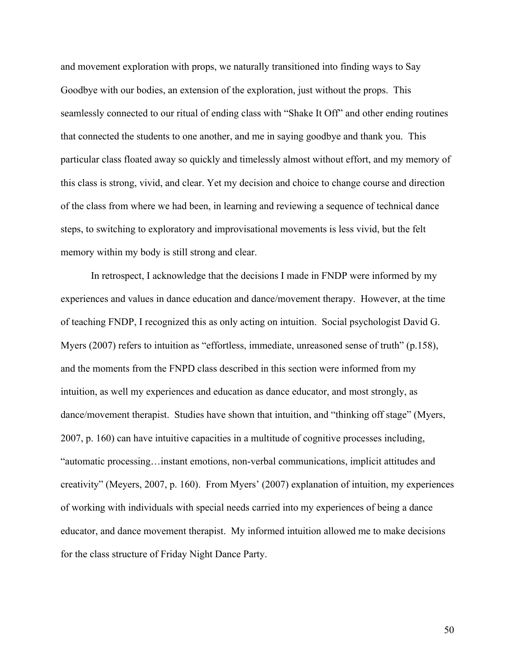and movement exploration with props, we naturally transitioned into finding ways to Say Goodbye with our bodies, an extension of the exploration, just without the props. This seamlessly connected to our ritual of ending class with "Shake It Off" and other ending routines that connected the students to one another, and me in saying goodbye and thank you. This particular class floated away so quickly and timelessly almost without effort, and my memory of this class is strong, vivid, and clear. Yet my decision and choice to change course and direction of the class from where we had been, in learning and reviewing a sequence of technical dance steps, to switching to exploratory and improvisational movements is less vivid, but the felt memory within my body is still strong and clear.

In retrospect, I acknowledge that the decisions I made in FNDP were informed by my experiences and values in dance education and dance/movement therapy. However, at the time of teaching FNDP, I recognized this as only acting on intuition. Social psychologist David G. Myers (2007) refers to intuition as "effortless, immediate, unreasoned sense of truth" (p.158), and the moments from the FNPD class described in this section were informed from my intuition, as well my experiences and education as dance educator, and most strongly, as dance/movement therapist. Studies have shown that intuition, and "thinking off stage" (Myers, 2007, p. 160) can have intuitive capacities in a multitude of cognitive processes including, "automatic processing…instant emotions, non-verbal communications, implicit attitudes and creativity" (Meyers, 2007, p. 160). From Myers' (2007) explanation of intuition, my experiences of working with individuals with special needs carried into my experiences of being a dance educator, and dance movement therapist. My informed intuition allowed me to make decisions for the class structure of Friday Night Dance Party.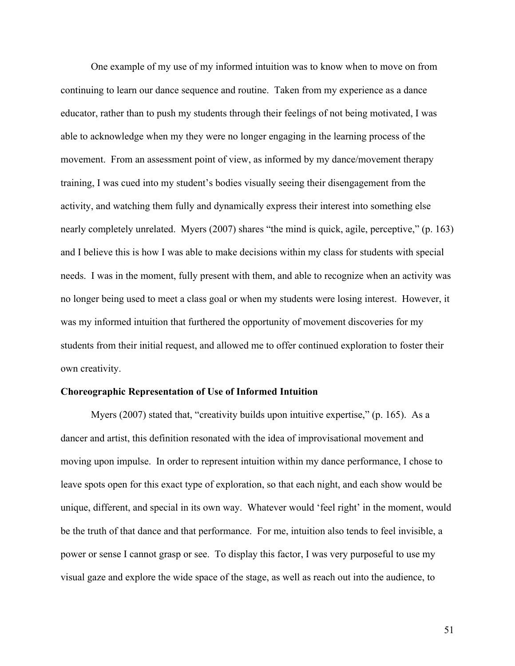One example of my use of my informed intuition was to know when to move on from continuing to learn our dance sequence and routine. Taken from my experience as a dance educator, rather than to push my students through their feelings of not being motivated, I was able to acknowledge when my they were no longer engaging in the learning process of the movement. From an assessment point of view, as informed by my dance/movement therapy training, I was cued into my student's bodies visually seeing their disengagement from the activity, and watching them fully and dynamically express their interest into something else nearly completely unrelated. Myers (2007) shares "the mind is quick, agile, perceptive," (p. 163) and I believe this is how I was able to make decisions within my class for students with special needs. I was in the moment, fully present with them, and able to recognize when an activity was no longer being used to meet a class goal or when my students were losing interest. However, it was my informed intuition that furthered the opportunity of movement discoveries for my students from their initial request, and allowed me to offer continued exploration to foster their own creativity.

## **Choreographic Representation of Use of Informed Intuition**

Myers (2007) stated that, "creativity builds upon intuitive expertise," (p. 165). As a dancer and artist, this definition resonated with the idea of improvisational movement and moving upon impulse. In order to represent intuition within my dance performance, I chose to leave spots open for this exact type of exploration, so that each night, and each show would be unique, different, and special in its own way. Whatever would 'feel right' in the moment, would be the truth of that dance and that performance. For me, intuition also tends to feel invisible, a power or sense I cannot grasp or see. To display this factor, I was very purposeful to use my visual gaze and explore the wide space of the stage, as well as reach out into the audience, to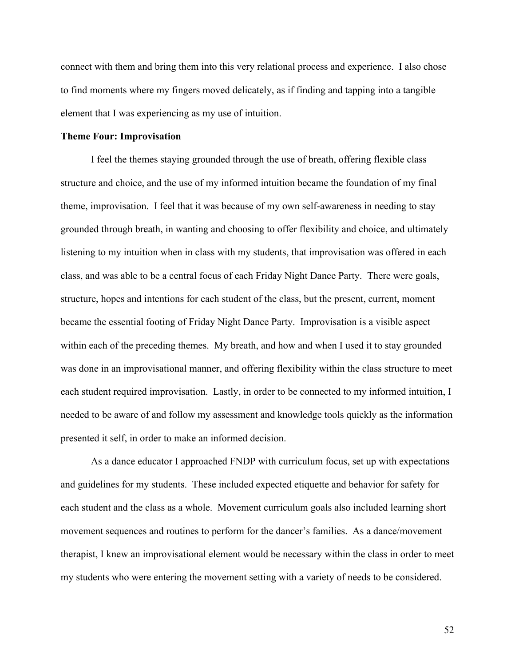connect with them and bring them into this very relational process and experience. I also chose to find moments where my fingers moved delicately, as if finding and tapping into a tangible element that I was experiencing as my use of intuition.

#### **Theme Four: Improvisation**

I feel the themes staying grounded through the use of breath, offering flexible class structure and choice, and the use of my informed intuition became the foundation of my final theme, improvisation. I feel that it was because of my own self-awareness in needing to stay grounded through breath, in wanting and choosing to offer flexibility and choice, and ultimately listening to my intuition when in class with my students, that improvisation was offered in each class, and was able to be a central focus of each Friday Night Dance Party. There were goals, structure, hopes and intentions for each student of the class, but the present, current, moment became the essential footing of Friday Night Dance Party. Improvisation is a visible aspect within each of the preceding themes. My breath, and how and when I used it to stay grounded was done in an improvisational manner, and offering flexibility within the class structure to meet each student required improvisation. Lastly, in order to be connected to my informed intuition, I needed to be aware of and follow my assessment and knowledge tools quickly as the information presented it self, in order to make an informed decision.

As a dance educator I approached FNDP with curriculum focus, set up with expectations and guidelines for my students. These included expected etiquette and behavior for safety for each student and the class as a whole. Movement curriculum goals also included learning short movement sequences and routines to perform for the dancer's families. As a dance/movement therapist, I knew an improvisational element would be necessary within the class in order to meet my students who were entering the movement setting with a variety of needs to be considered.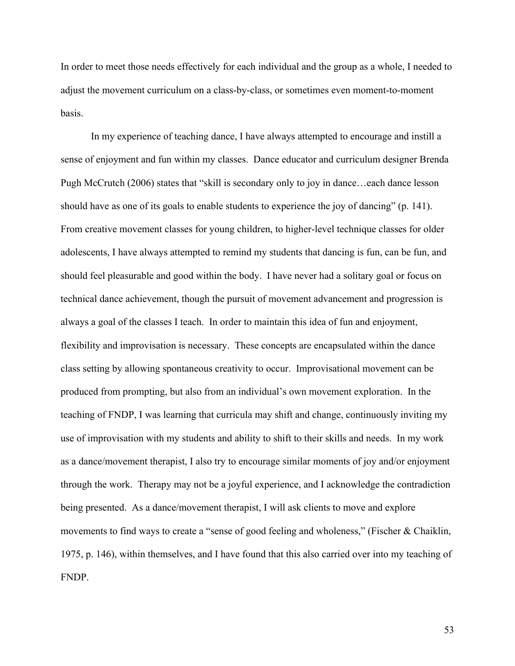In order to meet those needs effectively for each individual and the group as a whole, I needed to adjust the movement curriculum on a class-by-class, or sometimes even moment-to-moment basis.

In my experience of teaching dance, I have always attempted to encourage and instill a sense of enjoyment and fun within my classes. Dance educator and curriculum designer Brenda Pugh McCrutch (2006) states that "skill is secondary only to joy in dance…each dance lesson should have as one of its goals to enable students to experience the joy of dancing" (p. 141). From creative movement classes for young children, to higher-level technique classes for older adolescents, I have always attempted to remind my students that dancing is fun, can be fun, and should feel pleasurable and good within the body. I have never had a solitary goal or focus on technical dance achievement, though the pursuit of movement advancement and progression is always a goal of the classes I teach. In order to maintain this idea of fun and enjoyment, flexibility and improvisation is necessary. These concepts are encapsulated within the dance class setting by allowing spontaneous creativity to occur. Improvisational movement can be produced from prompting, but also from an individual's own movement exploration. In the teaching of FNDP, I was learning that curricula may shift and change, continuously inviting my use of improvisation with my students and ability to shift to their skills and needs. In my work as a dance/movement therapist, I also try to encourage similar moments of joy and/or enjoyment through the work. Therapy may not be a joyful experience, and I acknowledge the contradiction being presented. As a dance/movement therapist, I will ask clients to move and explore movements to find ways to create a "sense of good feeling and wholeness," (Fischer & Chaiklin, 1975, p. 146), within themselves, and I have found that this also carried over into my teaching of FNDP.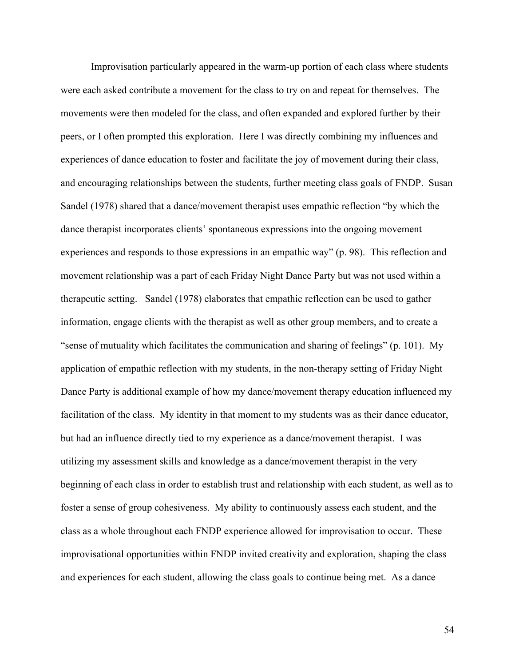Improvisation particularly appeared in the warm-up portion of each class where students were each asked contribute a movement for the class to try on and repeat for themselves. The movements were then modeled for the class, and often expanded and explored further by their peers, or I often prompted this exploration. Here I was directly combining my influences and experiences of dance education to foster and facilitate the joy of movement during their class, and encouraging relationships between the students, further meeting class goals of FNDP. Susan Sandel (1978) shared that a dance/movement therapist uses empathic reflection "by which the dance therapist incorporates clients' spontaneous expressions into the ongoing movement experiences and responds to those expressions in an empathic way" (p. 98). This reflection and movement relationship was a part of each Friday Night Dance Party but was not used within a therapeutic setting. Sandel (1978) elaborates that empathic reflection can be used to gather information, engage clients with the therapist as well as other group members, and to create a "sense of mutuality which facilitates the communication and sharing of feelings" (p. 101). My application of empathic reflection with my students, in the non-therapy setting of Friday Night Dance Party is additional example of how my dance/movement therapy education influenced my facilitation of the class. My identity in that moment to my students was as their dance educator, but had an influence directly tied to my experience as a dance/movement therapist. I was utilizing my assessment skills and knowledge as a dance/movement therapist in the very beginning of each class in order to establish trust and relationship with each student, as well as to foster a sense of group cohesiveness. My ability to continuously assess each student, and the class as a whole throughout each FNDP experience allowed for improvisation to occur. These improvisational opportunities within FNDP invited creativity and exploration, shaping the class and experiences for each student, allowing the class goals to continue being met. As a dance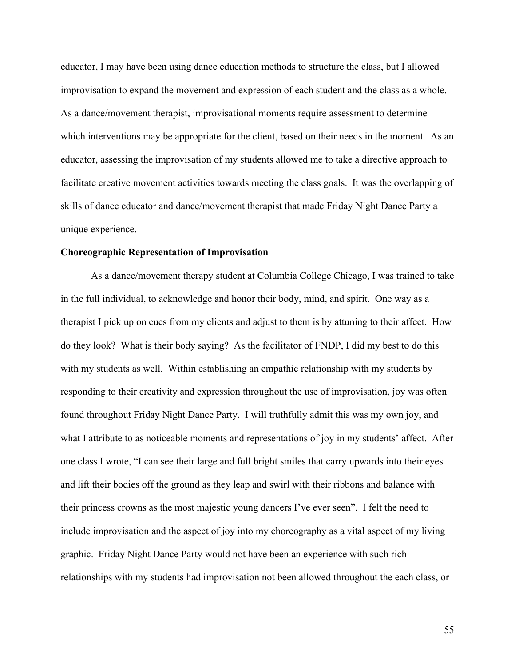educator, I may have been using dance education methods to structure the class, but I allowed improvisation to expand the movement and expression of each student and the class as a whole. As a dance/movement therapist, improvisational moments require assessment to determine which interventions may be appropriate for the client, based on their needs in the moment. As an educator, assessing the improvisation of my students allowed me to take a directive approach to facilitate creative movement activities towards meeting the class goals. It was the overlapping of skills of dance educator and dance/movement therapist that made Friday Night Dance Party a unique experience.

#### **Choreographic Representation of Improvisation**

As a dance/movement therapy student at Columbia College Chicago, I was trained to take in the full individual, to acknowledge and honor their body, mind, and spirit. One way as a therapist I pick up on cues from my clients and adjust to them is by attuning to their affect. How do they look? What is their body saying? As the facilitator of FNDP, I did my best to do this with my students as well. Within establishing an empathic relationship with my students by responding to their creativity and expression throughout the use of improvisation, joy was often found throughout Friday Night Dance Party. I will truthfully admit this was my own joy, and what I attribute to as noticeable moments and representations of joy in my students' affect. After one class I wrote, "I can see their large and full bright smiles that carry upwards into their eyes and lift their bodies off the ground as they leap and swirl with their ribbons and balance with their princess crowns as the most majestic young dancers I've ever seen". I felt the need to include improvisation and the aspect of joy into my choreography as a vital aspect of my living graphic. Friday Night Dance Party would not have been an experience with such rich relationships with my students had improvisation not been allowed throughout the each class, or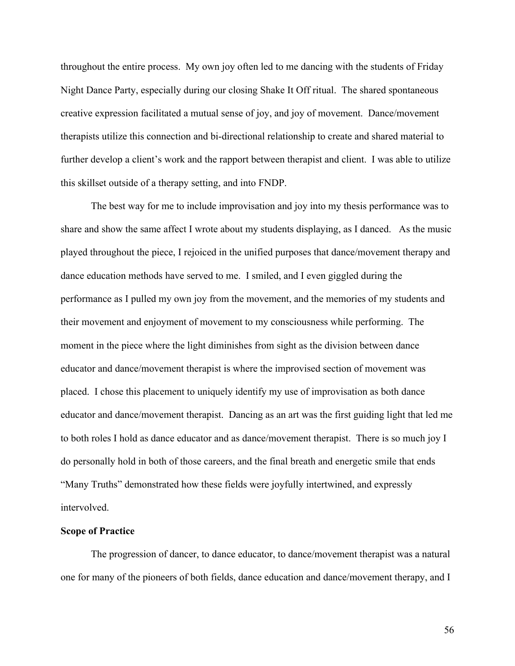throughout the entire process. My own joy often led to me dancing with the students of Friday Night Dance Party, especially during our closing Shake It Off ritual. The shared spontaneous creative expression facilitated a mutual sense of joy, and joy of movement. Dance/movement therapists utilize this connection and bi-directional relationship to create and shared material to further develop a client's work and the rapport between therapist and client. I was able to utilize this skillset outside of a therapy setting, and into FNDP.

The best way for me to include improvisation and joy into my thesis performance was to share and show the same affect I wrote about my students displaying, as I danced. As the music played throughout the piece, I rejoiced in the unified purposes that dance/movement therapy and dance education methods have served to me. I smiled, and I even giggled during the performance as I pulled my own joy from the movement, and the memories of my students and their movement and enjoyment of movement to my consciousness while performing. The moment in the piece where the light diminishes from sight as the division between dance educator and dance/movement therapist is where the improvised section of movement was placed. I chose this placement to uniquely identify my use of improvisation as both dance educator and dance/movement therapist. Dancing as an art was the first guiding light that led me to both roles I hold as dance educator and as dance/movement therapist. There is so much joy I do personally hold in both of those careers, and the final breath and energetic smile that ends "Many Truths" demonstrated how these fields were joyfully intertwined, and expressly intervolved.

# **Scope of Practice**

The progression of dancer, to dance educator, to dance/movement therapist was a natural one for many of the pioneers of both fields, dance education and dance/movement therapy, and I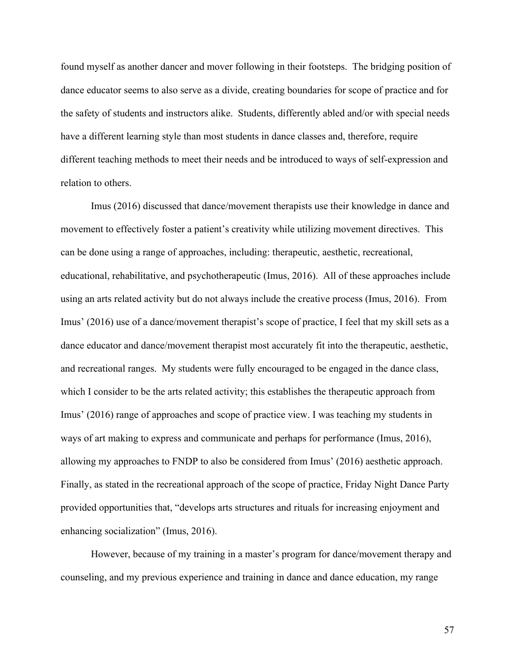found myself as another dancer and mover following in their footsteps. The bridging position of dance educator seems to also serve as a divide, creating boundaries for scope of practice and for the safety of students and instructors alike. Students, differently abled and/or with special needs have a different learning style than most students in dance classes and, therefore, require different teaching methods to meet their needs and be introduced to ways of self-expression and relation to others.

Imus (2016) discussed that dance/movement therapists use their knowledge in dance and movement to effectively foster a patient's creativity while utilizing movement directives. This can be done using a range of approaches, including: therapeutic, aesthetic, recreational, educational, rehabilitative, and psychotherapeutic (Imus, 2016). All of these approaches include using an arts related activity but do not always include the creative process (Imus, 2016). From Imus' (2016) use of a dance/movement therapist's scope of practice, I feel that my skill sets as a dance educator and dance/movement therapist most accurately fit into the therapeutic, aesthetic, and recreational ranges. My students were fully encouraged to be engaged in the dance class, which I consider to be the arts related activity; this establishes the therapeutic approach from Imus' (2016) range of approaches and scope of practice view. I was teaching my students in ways of art making to express and communicate and perhaps for performance (Imus, 2016), allowing my approaches to FNDP to also be considered from Imus' (2016) aesthetic approach. Finally, as stated in the recreational approach of the scope of practice, Friday Night Dance Party provided opportunities that, "develops arts structures and rituals for increasing enjoyment and enhancing socialization" (Imus, 2016).

However, because of my training in a master's program for dance/movement therapy and counseling, and my previous experience and training in dance and dance education, my range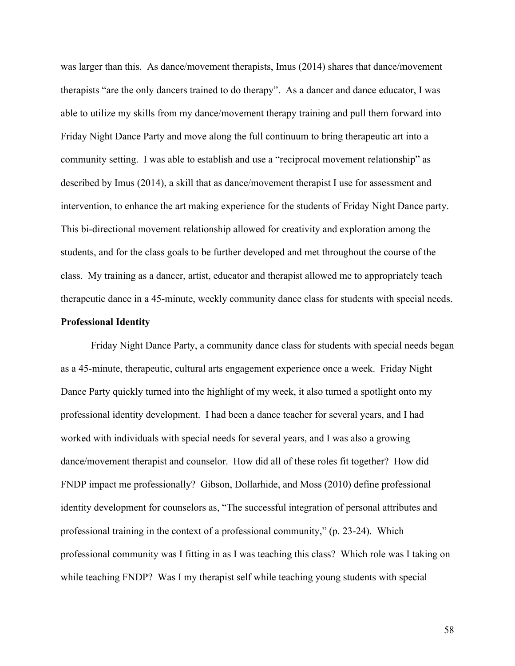was larger than this. As dance/movement therapists, Imus (2014) shares that dance/movement therapists "are the only dancers trained to do therapy". As a dancer and dance educator, I was able to utilize my skills from my dance/movement therapy training and pull them forward into Friday Night Dance Party and move along the full continuum to bring therapeutic art into a community setting. I was able to establish and use a "reciprocal movement relationship" as described by Imus (2014), a skill that as dance/movement therapist I use for assessment and intervention, to enhance the art making experience for the students of Friday Night Dance party. This bi-directional movement relationship allowed for creativity and exploration among the students, and for the class goals to be further developed and met throughout the course of the class. My training as a dancer, artist, educator and therapist allowed me to appropriately teach therapeutic dance in a 45-minute, weekly community dance class for students with special needs.

# **Professional Identity**

Friday Night Dance Party, a community dance class for students with special needs began as a 45-minute, therapeutic, cultural arts engagement experience once a week. Friday Night Dance Party quickly turned into the highlight of my week, it also turned a spotlight onto my professional identity development. I had been a dance teacher for several years, and I had worked with individuals with special needs for several years, and I was also a growing dance/movement therapist and counselor. How did all of these roles fit together? How did FNDP impact me professionally? Gibson, Dollarhide, and Moss (2010) define professional identity development for counselors as, "The successful integration of personal attributes and professional training in the context of a professional community," (p. 23-24). Which professional community was I fitting in as I was teaching this class? Which role was I taking on while teaching FNDP? Was I my therapist self while teaching young students with special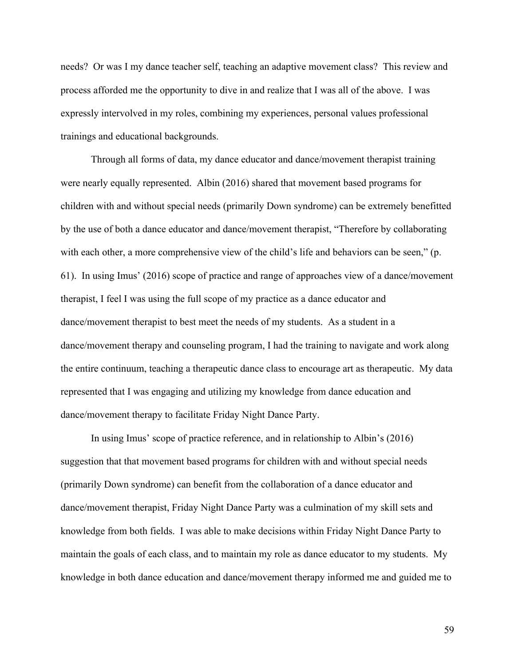needs? Or was I my dance teacher self, teaching an adaptive movement class? This review and process afforded me the opportunity to dive in and realize that I was all of the above. I was expressly intervolved in my roles, combining my experiences, personal values professional trainings and educational backgrounds.

Through all forms of data, my dance educator and dance/movement therapist training were nearly equally represented. Albin (2016) shared that movement based programs for children with and without special needs (primarily Down syndrome) can be extremely benefitted by the use of both a dance educator and dance/movement therapist, "Therefore by collaborating with each other, a more comprehensive view of the child's life and behaviors can be seen," (p. 61). In using Imus' (2016) scope of practice and range of approaches view of a dance/movement therapist, I feel I was using the full scope of my practice as a dance educator and dance/movement therapist to best meet the needs of my students. As a student in a dance/movement therapy and counseling program, I had the training to navigate and work along the entire continuum, teaching a therapeutic dance class to encourage art as therapeutic. My data represented that I was engaging and utilizing my knowledge from dance education and dance/movement therapy to facilitate Friday Night Dance Party.

In using Imus' scope of practice reference, and in relationship to Albin's (2016) suggestion that that movement based programs for children with and without special needs (primarily Down syndrome) can benefit from the collaboration of a dance educator and dance/movement therapist, Friday Night Dance Party was a culmination of my skill sets and knowledge from both fields. I was able to make decisions within Friday Night Dance Party to maintain the goals of each class, and to maintain my role as dance educator to my students. My knowledge in both dance education and dance/movement therapy informed me and guided me to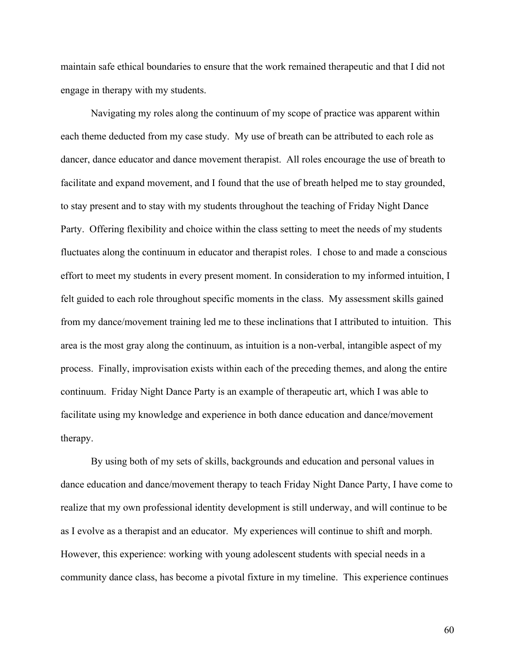maintain safe ethical boundaries to ensure that the work remained therapeutic and that I did not engage in therapy with my students.

Navigating my roles along the continuum of my scope of practice was apparent within each theme deducted from my case study. My use of breath can be attributed to each role as dancer, dance educator and dance movement therapist. All roles encourage the use of breath to facilitate and expand movement, and I found that the use of breath helped me to stay grounded, to stay present and to stay with my students throughout the teaching of Friday Night Dance Party. Offering flexibility and choice within the class setting to meet the needs of my students fluctuates along the continuum in educator and therapist roles. I chose to and made a conscious effort to meet my students in every present moment. In consideration to my informed intuition, I felt guided to each role throughout specific moments in the class. My assessment skills gained from my dance/movement training led me to these inclinations that I attributed to intuition. This area is the most gray along the continuum, as intuition is a non-verbal, intangible aspect of my process. Finally, improvisation exists within each of the preceding themes, and along the entire continuum. Friday Night Dance Party is an example of therapeutic art, which I was able to facilitate using my knowledge and experience in both dance education and dance/movement therapy.

By using both of my sets of skills, backgrounds and education and personal values in dance education and dance/movement therapy to teach Friday Night Dance Party, I have come to realize that my own professional identity development is still underway, and will continue to be as I evolve as a therapist and an educator. My experiences will continue to shift and morph. However, this experience: working with young adolescent students with special needs in a community dance class, has become a pivotal fixture in my timeline. This experience continues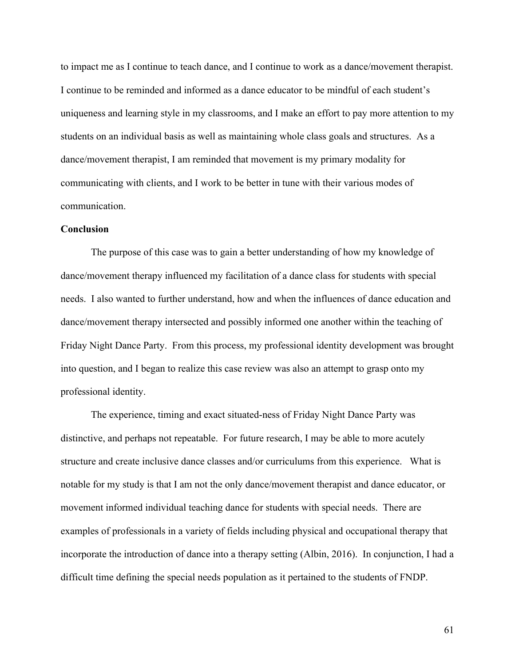to impact me as I continue to teach dance, and I continue to work as a dance/movement therapist. I continue to be reminded and informed as a dance educator to be mindful of each student's uniqueness and learning style in my classrooms, and I make an effort to pay more attention to my students on an individual basis as well as maintaining whole class goals and structures. As a dance/movement therapist, I am reminded that movement is my primary modality for communicating with clients, and I work to be better in tune with their various modes of communication.

### **Conclusion**

The purpose of this case was to gain a better understanding of how my knowledge of dance/movement therapy influenced my facilitation of a dance class for students with special needs. I also wanted to further understand, how and when the influences of dance education and dance/movement therapy intersected and possibly informed one another within the teaching of Friday Night Dance Party. From this process, my professional identity development was brought into question, and I began to realize this case review was also an attempt to grasp onto my professional identity.

The experience, timing and exact situated-ness of Friday Night Dance Party was distinctive, and perhaps not repeatable. For future research, I may be able to more acutely structure and create inclusive dance classes and/or curriculums from this experience. What is notable for my study is that I am not the only dance/movement therapist and dance educator, or movement informed individual teaching dance for students with special needs. There are examples of professionals in a variety of fields including physical and occupational therapy that incorporate the introduction of dance into a therapy setting (Albin, 2016). In conjunction, I had a difficult time defining the special needs population as it pertained to the students of FNDP.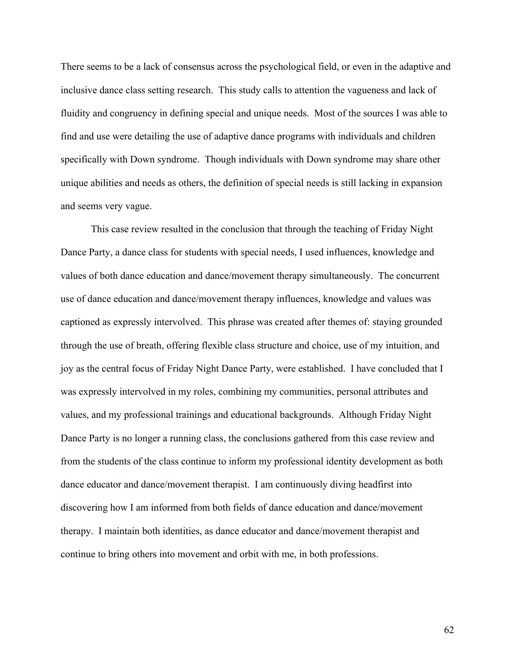There seems to be a lack of consensus across the psychological field, or even in the adaptive and inclusive dance class setting research. This study calls to attention the vagueness and lack of fluidity and congruency in defining special and unique needs. Most of the sources I was able to find and use were detailing the use of adaptive dance programs with individuals and children specifically with Down syndrome. Though individuals with Down syndrome may share other unique abilities and needs as others, the definition of special needs is still lacking in expansion and seems very vague.

This case review resulted in the conclusion that through the teaching of Friday Night Dance Party, a dance class for students with special needs, I used influences, knowledge and values of both dance education and dance/movement therapy simultaneously. The concurrent use of dance education and dance/movement therapy influences, knowledge and values was captioned as expressly intervolved. This phrase was created after themes of: staying grounded through the use of breath, offering flexible class structure and choice, use of my intuition, and joy as the central focus of Friday Night Dance Party, were established. I have concluded that I was expressly intervolved in my roles, combining my communities, personal attributes and values, and my professional trainings and educational backgrounds. Although Friday Night Dance Party is no longer a running class, the conclusions gathered from this case review and from the students of the class continue to inform my professional identity development as both dance educator and dance/movement therapist. I am continuously diving headfirst into discovering how I am informed from both fields of dance education and dance/movement therapy. I maintain both identities, as dance educator and dance/movement therapist and continue to bring others into movement and orbit with me, in both professions.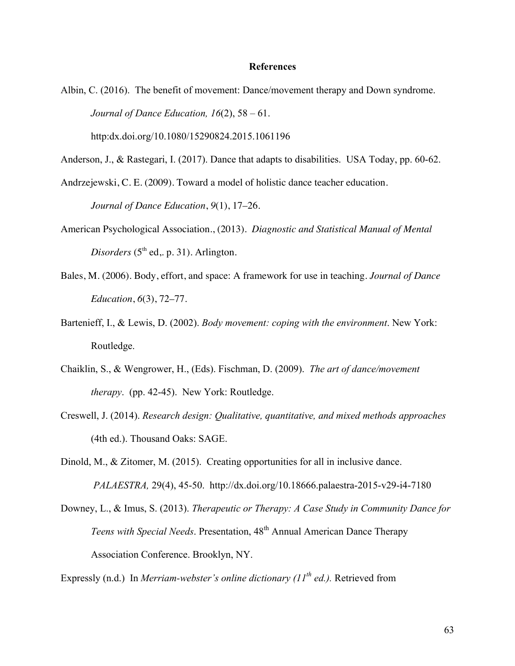#### **References**

Albin, C. (2016). The benefit of movement: Dance/movement therapy and Down syndrome. *Journal of Dance Education, 16*(2), 58 – 61. http:dx.doi.org/10.1080/15290824.2015.1061196

Anderson, J., & Rastegari, I. (2017). Dance that adapts to disabilities. USA Today, pp. 60-62.

Andrzejewski, C. E. (2009). Toward a model of holistic dance teacher education. *Journal of Dance Education*, *9*(1), 17–26.

- American Psychological Association., (2013). *Diagnostic and Statistical Manual of Mental Disorders* ( $5<sup>th</sup>$  ed, p. 31). Arlington.
- Bales, M. (2006). Body, effort, and space: A framework for use in teaching. *Journal of Dance Education*, *6*(3), 72–77.
- Bartenieff, I., & Lewis, D. (2002). *Body movement: coping with the environment*. New York: Routledge.
- Chaiklin, S., & Wengrower, H., (Eds). Fischman, D. (2009). *The art of dance/movement therapy*. (pp. 42-45). New York: Routledge.
- Creswell, J. (2014). *Research design: Qualitative, quantitative, and mixed methods approaches* (4th ed.). Thousand Oaks: SAGE.

Dinold, M., & Zitomer, M. (2015). Creating opportunities for all in inclusive dance. *PALAESTRA,* 29(4), 45-50. http://dx.doi.org/10.18666.palaestra-2015-v29-i4-7180

Downey, L., & Imus, S. (2013). *Therapeutic or Therapy: A Case Study in Community Dance for Teens with Special Needs.* Presentation, 48<sup>th</sup> Annual American Dance Therapy Association Conference. Brooklyn, NY.

Expressly (n.d.) In *Merriam-webster's online dictionary (11th ed.).* Retrieved from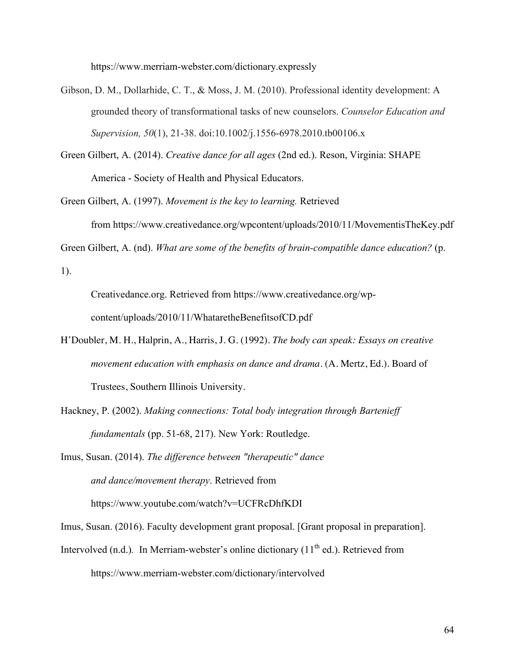https://www.merriam-webster.com/dictionary.expressly

- Gibson, D. M., Dollarhide, C. T., & Moss, J. M. (2010). Professional identity development: A grounded theory of transformational tasks of new counselors. *Counselor Education and Supervision, 50*(1), 21-38. doi:10.1002/j.1556-6978.2010.tb00106.x
- Green Gilbert, A. (2014). *Creative dance for all ages* (2nd ed.). Reson, Virginia: SHAPE America - Society of Health and Physical Educators.
- Green Gilbert, A. (1997). *Movement is the key to learning.* Retrieved from https://www.creativedance.org/wpcontent/uploads/2010/11/MovementisTheKey.pdf

Green Gilbert, A. (nd). *What are some of the benefits of brain-compatible dance education?* (p.

1).

Creativedance.org. Retrieved from https://www.creativedance.org/wpcontent/uploads/2010/11/WhataretheBenefitsofCD.pdf

- H'Doubler, M. H., Halprin, A., Harris, J. G. (1992). *The body can speak: Essays on creative movement education with emphasis on dance and drama*. (A. Mertz, Ed.). Board of Trustees, Southern Illinois University.
- Hackney, P. (2002). *Making connections: Total body integration through Bartenieff fundamentals* (pp. 51-68, 217). New York: Routledge.

Imus, Susan. (2014). *The difference between "therapeutic" dance and dance/movement therapy*. Retrieved from

https://www.youtube.com/watch?v=UCFRcDhfKDI

- Imus, Susan. (2016). Faculty development grant proposal. [Grant proposal in preparation].
- Intervolved (n.d.). In Merriam-webster's online dictionary (11<sup>th</sup> ed.). Retrieved from https://www.merriam-webster.com/dictionary/intervolved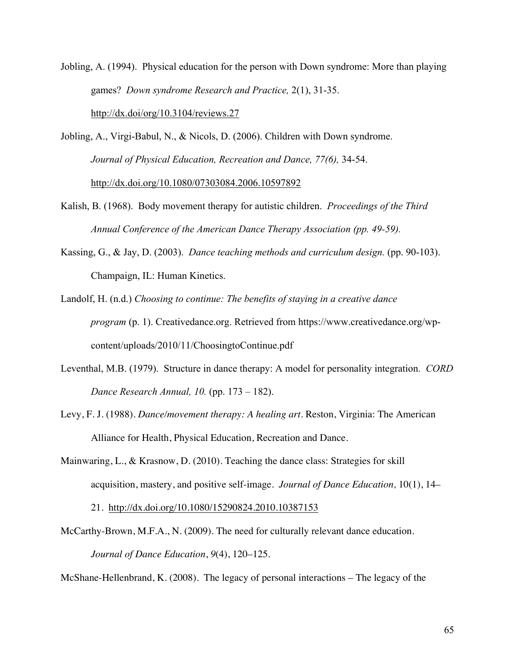Jobling, A. (1994). Physical education for the person with Down syndrome: More than playing games? *Down syndrome Research and Practice,* 2(1), 31-35. http://dx.doi/org/10.3104/reviews.27

Jobling, A., Virgi-Babul, N., & Nicols, D. (2006). Children with Down syndrome. *Journal of Physical Education, Recreation and Dance, 77(6),* 34-54. http://dx.doi.org/10.1080/07303084.2006.10597892

- Kalish, B. (1968). Body movement therapy for autistic children. *Proceedings of the Third Annual Conference of the American Dance Therapy Association (pp. 49-59).*
- Kassing, G., & Jay, D. (2003). *Dance teaching methods and curriculum design.* (pp. 90-103). Champaign, IL: Human Kinetics.

Landolf, H. (n.d.) *Choosing to continue: The benefits of staying in a creative dance program* (p. 1). Creativedance.org. Retrieved from https://www.creativedance.org/wpcontent/uploads/2010/11/ChoosingtoContinue.pdf

- Leventhal, M.B. (1979). Structure in dance therapy: A model for personality integration. *CORD Dance Research Annual, 10.* (pp. 173 – 182).
- Levy, F. J. (1988). *Dance/movement therapy: A healing art*. Reston, Virginia: The American Alliance for Health, Physical Education, Recreation and Dance.
- Mainwaring, L., & Krasnow, D. (2010). Teaching the dance class: Strategies for skill acquisition, mastery, and positive self-image. *Journal of Dance Education,* 10(1), 14–

21. http://dx.doi.org/10.1080/15290824.2010.10387153

McCarthy-Brown, M.F.A., N. (2009). The need for culturally relevant dance education. *Journal of Dance Education*, *9*(4), 120–125.

McShane-Hellenbrand, K. (2008). The legacy of personal interactions – The legacy of the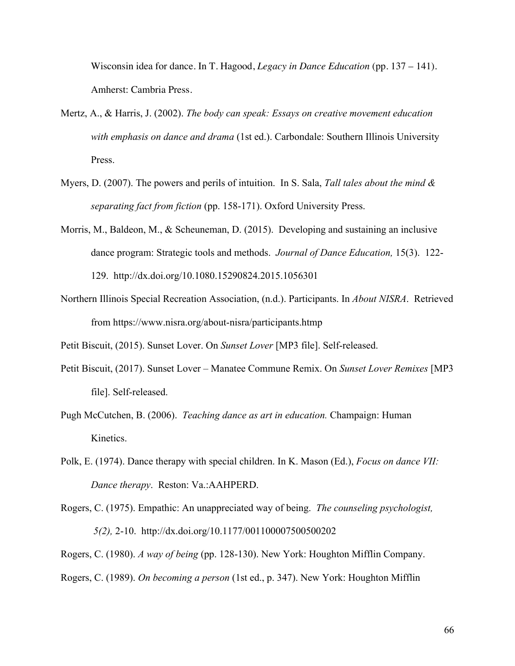Wisconsin idea for dance. In T. Hagood, *Legacy in Dance Education* (pp. 137 – 141). Amherst: Cambria Press.

- Mertz, A., & Harris, J. (2002). *The body can speak: Essays on creative movement education with emphasis on dance and drama* (1st ed.). Carbondale: Southern Illinois University Press.
- Myers, D. (2007). The powers and perils of intuition. In S. Sala, *Tall tales about the mind & separating fact from fiction* (pp. 158-171). Oxford University Press.
- Morris, M., Baldeon, M., & Scheuneman, D. (2015). Developing and sustaining an inclusive dance program: Strategic tools and methods. *Journal of Dance Education,* 15(3). 122- 129. http://dx.doi.org/10.1080.15290824.2015.1056301
- Northern Illinois Special Recreation Association, (n.d.). Participants. In *About NISRA*. Retrieved from https://www.nisra.org/about-nisra/participants.htmp

Petit Biscuit, (2015). Sunset Lover. On *Sunset Lover* [MP3 file]. Self-released.

- Petit Biscuit, (2017). Sunset Lover Manatee Commune Remix. On *Sunset Lover Remixes* [MP3 file]. Self-released.
- Pugh McCutchen, B. (2006). *Teaching dance as art in education.* Champaign: Human Kinetics.
- Polk, E. (1974). Dance therapy with special children. In K. Mason (Ed.), *Focus on dance VII: Dance therapy*. Reston: Va.:AAHPERD.
- Rogers, C. (1975). Empathic: An unappreciated way of being. *The counseling psychologist, 5(2),* 2-10. http://dx.doi.org/10.1177/001100007500500202
- Rogers, C. (1980). *A way of being* (pp. 128-130). New York: Houghton Mifflin Company.
- Rogers, C. (1989). *On becoming a person* (1st ed., p. 347). New York: Houghton Mifflin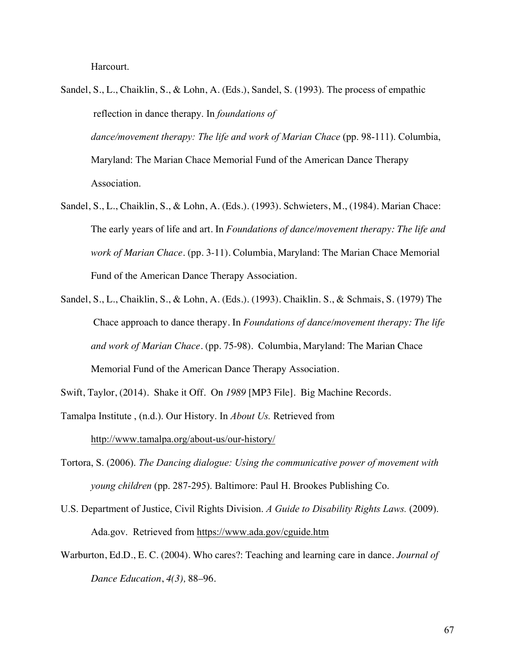Harcourt.

- Sandel, S., L., Chaiklin, S., & Lohn, A. (Eds.), Sandel, S. (1993). The process of empathic reflection in dance therapy. In *foundations of dance/movement therapy: The life and work of Marian Chace* (pp. 98-111). Columbia, Maryland: The Marian Chace Memorial Fund of the American Dance Therapy Association.
- Sandel, S., L., Chaiklin, S., & Lohn, A. (Eds.). (1993). Schwieters, M., (1984). Marian Chace: The early years of life and art. In *Foundations of dance/movement therapy: The life and work of Marian Chace*. (pp. 3-11). Columbia, Maryland: The Marian Chace Memorial Fund of the American Dance Therapy Association.
- Sandel, S., L., Chaiklin, S., & Lohn, A. (Eds.). (1993). Chaiklin. S., & Schmais, S. (1979) The Chace approach to dance therapy. In *Foundations of dance/movement therapy: The life and work of Marian Chace*. (pp. 75-98). Columbia, Maryland: The Marian Chace Memorial Fund of the American Dance Therapy Association.

Swift, Taylor, (2014). Shake it Off. On *1989* [MP3 File]. Big Machine Records.

- Tamalpa Institute , (n.d.). Our History. In *About Us.* Retrieved from http://www.tamalpa.org/about-us/our-history/
- Tortora, S. (2006). *The Dancing dialogue: Using the communicative power of movement with young children* (pp. 287-295). Baltimore: Paul H. Brookes Publishing Co.
- U.S. Department of Justice, Civil Rights Division. *A Guide to Disability Rights Laws.* (2009). Ada.gov. Retrieved from https://www.ada.gov/cguide.htm
- Warburton, Ed.D., E. C. (2004). Who cares?: Teaching and learning care in dance. *Journal of Dance Education*, *4(3),* 88–96.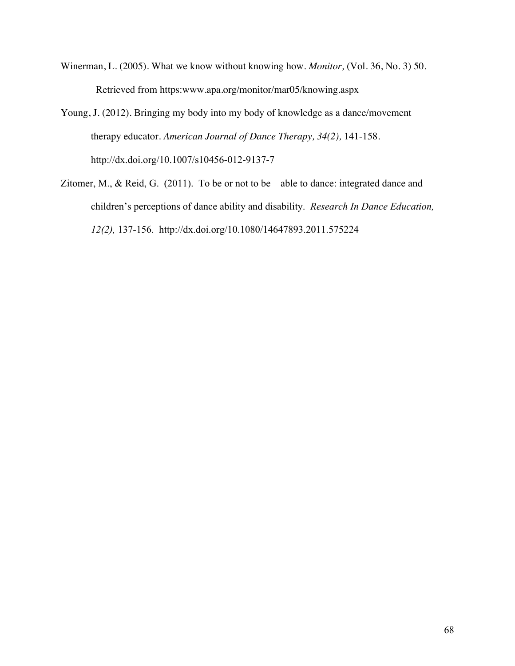- Winerman, L. (2005). What we know without knowing how. *Monitor,* (Vol. 36, No. 3) 50. Retrieved from https:www.apa.org/monitor/mar05/knowing.aspx
- Young, J. (2012). Bringing my body into my body of knowledge as a dance/movement therapy educator. *American Journal of Dance Therapy, 34(2),* 141-158. http://dx.doi.org/10.1007/s10456-012-9137-7
- Zitomer, M., & Reid, G. (2011). To be or not to be able to dance: integrated dance and children's perceptions of dance ability and disability. *Research In Dance Education, 12(2),* 137-156. http://dx.doi.org/10.1080/14647893.2011.575224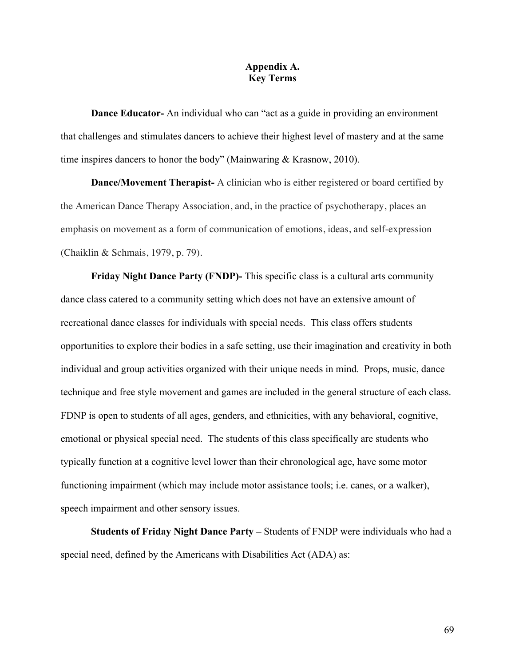## **Appendix A. Key Terms**

**Dance Educator-** An individual who can "act as a guide in providing an environment that challenges and stimulates dancers to achieve their highest level of mastery and at the same time inspires dancers to honor the body" (Mainwaring & Krasnow, 2010).

**Dance/Movement Therapist-** A clinician who is either registered or board certified by the American Dance Therapy Association, and, in the practice of psychotherapy, places an emphasis on movement as a form of communication of emotions, ideas, and self-expression (Chaiklin & Schmais, 1979, p. 79).

**Friday Night Dance Party (FNDP)-** This specific class is a cultural arts community dance class catered to a community setting which does not have an extensive amount of recreational dance classes for individuals with special needs. This class offers students opportunities to explore their bodies in a safe setting, use their imagination and creativity in both individual and group activities organized with their unique needs in mind. Props, music, dance technique and free style movement and games are included in the general structure of each class. FDNP is open to students of all ages, genders, and ethnicities, with any behavioral, cognitive, emotional or physical special need. The students of this class specifically are students who typically function at a cognitive level lower than their chronological age, have some motor functioning impairment (which may include motor assistance tools; i.e. canes, or a walker), speech impairment and other sensory issues.

**Students of Friday Night Dance Party** *–* Students of FNDP were individuals who had a special need, defined by the Americans with Disabilities Act (ADA) as: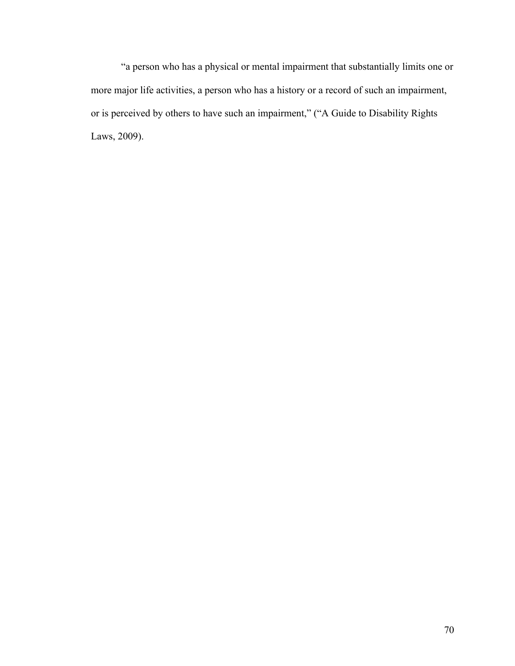"a person who has a physical or mental impairment that substantially limits one or more major life activities, a person who has a history or a record of such an impairment, or is perceived by others to have such an impairment," ("A Guide to Disability Rights Laws, 2009).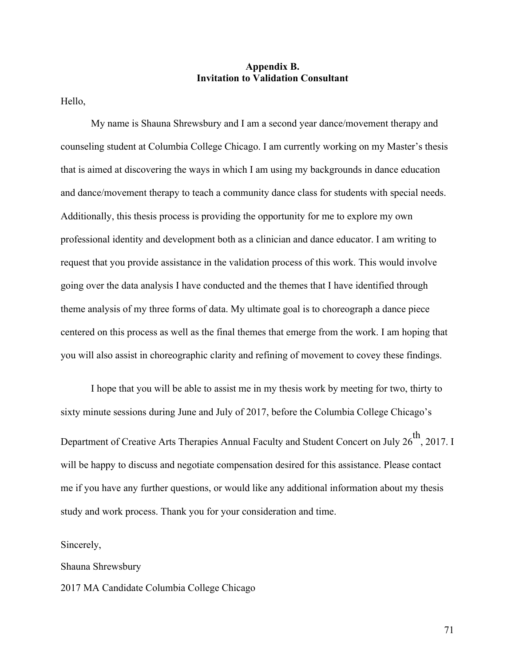## **Appendix B. Invitation to Validation Consultant**

Hello,

My name is Shauna Shrewsbury and I am a second year dance/movement therapy and counseling student at Columbia College Chicago. I am currently working on my Master's thesis that is aimed at discovering the ways in which I am using my backgrounds in dance education and dance/movement therapy to teach a community dance class for students with special needs. Additionally, this thesis process is providing the opportunity for me to explore my own professional identity and development both as a clinician and dance educator. I am writing to request that you provide assistance in the validation process of this work. This would involve going over the data analysis I have conducted and the themes that I have identified through theme analysis of my three forms of data. My ultimate goal is to choreograph a dance piece centered on this process as well as the final themes that emerge from the work. I am hoping that you will also assist in choreographic clarity and refining of movement to covey these findings.

I hope that you will be able to assist me in my thesis work by meeting for two, thirty to sixty minute sessions during June and July of 2017, before the Columbia College Chicago's Department of Creative Arts Therapies Annual Faculty and Student Concert on July 26<sup>th</sup>, 2017. I will be happy to discuss and negotiate compensation desired for this assistance. Please contact me if you have any further questions, or would like any additional information about my thesis study and work process. Thank you for your consideration and time.

Sincerely,

Shauna Shrewsbury 2017 MA Candidate Columbia College Chicago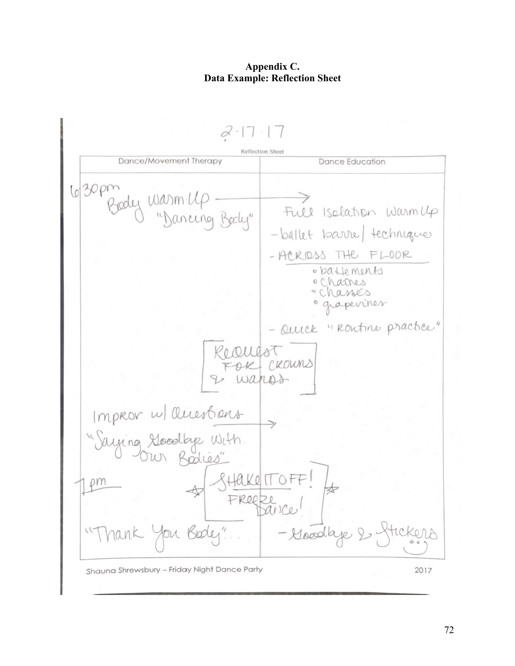## **Appendix C. Data Example: Reflection Sheet**

 $7 \cdot 1$ Reflection Sheet Dance/Movement Therapy **Dance Education** 630pm  $100)$ Full Isolation Warmlp -ballet barrel technique - ACKIDSS THE FLOOR · ballements ocharres · Chassés perines "Rontine practice" Quick ROUNS Improv w/ Questions om FReeze - Goodbje Shauna Shrewsbury - Friday Night Dance Party 2017